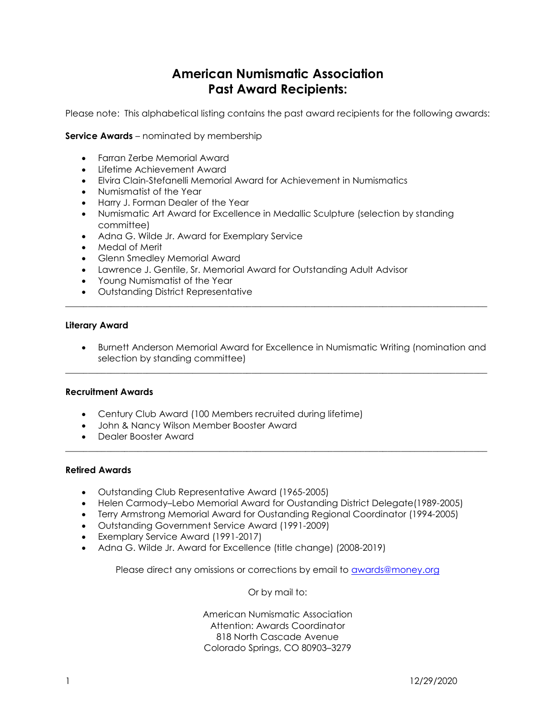## American Numismatic Association Past Award Recipients:

Please note: This alphabetical listing contains the past award recipients for the following awards:

Service Awards – nominated by membership

- Farran Zerbe Memorial Award
- Lifetime Achievement Award
- Elvira Clain-Stefanelli Memorial Award for Achievement in Numismatics
- Numismatist of the Year
- Harry J. Forman Dealer of the Year
- Numismatic Art Award for Excellence in Medallic Sculpture (selection by standing committee)
- Adna G. Wilde Jr. Award for Exemplary Service
- Medal of Merit
- Glenn Smedley Memorial Award
- Lawrence J. Gentile, Sr. Memorial Award for Outstanding Adult Advisor
- Young Numismatist of the Year
- Outstanding District Representative

## Literary Award

 Burnett Anderson Memorial Award for Excellence in Numismatic Writing (nomination and selection by standing committee)

 $\mathcal{L}_\mathcal{L} = \{ \mathcal{L}_\mathcal{L} = \{ \mathcal{L}_\mathcal{L} = \{ \mathcal{L}_\mathcal{L} = \{ \mathcal{L}_\mathcal{L} = \{ \mathcal{L}_\mathcal{L} = \{ \mathcal{L}_\mathcal{L} = \{ \mathcal{L}_\mathcal{L} = \{ \mathcal{L}_\mathcal{L} = \{ \mathcal{L}_\mathcal{L} = \{ \mathcal{L}_\mathcal{L} = \{ \mathcal{L}_\mathcal{L} = \{ \mathcal{L}_\mathcal{L} = \{ \mathcal{L}_\mathcal{L} = \{ \mathcal{L}_\mathcal{$ 

 $\mathcal{L}_\mathcal{L} = \{ \mathcal{L}_\mathcal{L} = \{ \mathcal{L}_\mathcal{L} = \{ \mathcal{L}_\mathcal{L} = \{ \mathcal{L}_\mathcal{L} = \{ \mathcal{L}_\mathcal{L} = \{ \mathcal{L}_\mathcal{L} = \{ \mathcal{L}_\mathcal{L} = \{ \mathcal{L}_\mathcal{L} = \{ \mathcal{L}_\mathcal{L} = \{ \mathcal{L}_\mathcal{L} = \{ \mathcal{L}_\mathcal{L} = \{ \mathcal{L}_\mathcal{L} = \{ \mathcal{L}_\mathcal{L} = \{ \mathcal{L}_\mathcal{$ 

 $\mathcal{L}_\mathcal{L} = \{ \mathcal{L}_\mathcal{L} = \{ \mathcal{L}_\mathcal{L} = \{ \mathcal{L}_\mathcal{L} = \{ \mathcal{L}_\mathcal{L} = \{ \mathcal{L}_\mathcal{L} = \{ \mathcal{L}_\mathcal{L} = \{ \mathcal{L}_\mathcal{L} = \{ \mathcal{L}_\mathcal{L} = \{ \mathcal{L}_\mathcal{L} = \{ \mathcal{L}_\mathcal{L} = \{ \mathcal{L}_\mathcal{L} = \{ \mathcal{L}_\mathcal{L} = \{ \mathcal{L}_\mathcal{L} = \{ \mathcal{L}_\mathcal{$ 

## Recruitment Awards

- Century Club Award (100 Members recruited during lifetime)
- John & Nancy Wilson Member Booster Award
- Dealer Booster Award

## Retired Awards

- Outstanding Club Representative Award (1965-2005)
- Helen Carmody–Lebo Memorial Award for Oustanding District Delegate(1989-2005)
- Terry Armstrong Memorial Award for Oustanding Regional Coordinator (1994-2005)
- Outstanding Government Service Award (1991-2009)
- Exemplary Service Award (1991-2017)
- Adna G. Wilde Jr. Award for Excellence (title change) (2008-2019)

Please direct any omissions or corrections by email to awards@money.org

Or by mail to:

American Numismatic Association Attention: Awards Coordinator 818 North Cascade Avenue Colorado Springs, CO 80903–3279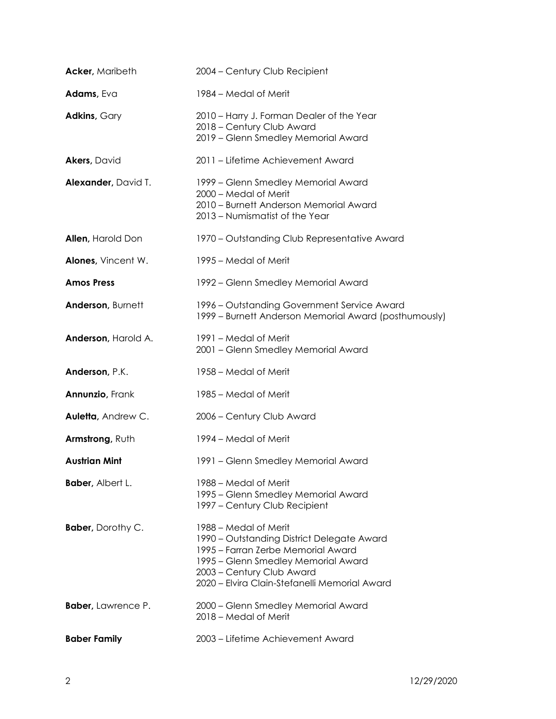| <b>Acker, Maribeth</b>    | 2004 - Century Club Recipient                                                                                                                                                                                                  |
|---------------------------|--------------------------------------------------------------------------------------------------------------------------------------------------------------------------------------------------------------------------------|
| Adams, Eva                | 1984 – Medal of Merit                                                                                                                                                                                                          |
| <b>Adkins, Gary</b>       | 2010 - Harry J. Forman Dealer of the Year<br>2018 - Century Club Award<br>2019 - Glenn Smedley Memorial Award                                                                                                                  |
| <b>Akers, David</b>       | 2011 - Lifetime Achievement Award                                                                                                                                                                                              |
| Alexander, David T.       | 1999 – Glenn Smedley Memorial Award<br>2000 - Medal of Merit<br>2010 - Burnett Anderson Memorial Award<br>2013 - Numismatist of the Year                                                                                       |
| <b>Allen, Harold Don</b>  | 1970 - Outstanding Club Representative Award                                                                                                                                                                                   |
| Alones, Vincent W.        | 1995 – Medal of Merit                                                                                                                                                                                                          |
| <b>Amos Press</b>         | 1992 – Glenn Smedley Memorial Award                                                                                                                                                                                            |
| Anderson, Burnett         | 1996 – Outstanding Government Service Award<br>1999 - Burnett Anderson Memorial Award (posthumously)                                                                                                                           |
| Anderson, Harold A.       | 1991 – Medal of Merit<br>2001 - Glenn Smedley Memorial Award                                                                                                                                                                   |
| Anderson, P.K.            | 1958 - Medal of Merit                                                                                                                                                                                                          |
| <b>Annunzio, Frank</b>    | 1985 – Medal of Merit                                                                                                                                                                                                          |
| Auletta, Andrew C.        | 2006 - Century Club Award                                                                                                                                                                                                      |
| Armstrong, Ruth           | 1994 – Medal of Merit                                                                                                                                                                                                          |
| <b>Austrian Mint</b>      | 1991 - Glenn Smedley Memorial Award                                                                                                                                                                                            |
| <b>Baber, Albert L.</b>   | 1988 – Medal of Merit<br>1995 - Glenn Smedley Memorial Award<br>1997 – Century Club Recipient                                                                                                                                  |
| <b>Baber</b> , Dorothy C. | 1988 – Medal of Merit<br>1990 – Outstanding District Delegate Award<br>1995 – Farran Zerbe Memorial Award<br>1995 – Glenn Smedley Memorial Award<br>2003 - Century Club Award<br>2020 - Elvira Clain-Stefanelli Memorial Award |
| <b>Baber, Lawrence P.</b> | 2000 – Glenn Smedley Memorial Award<br>2018 - Medal of Merit                                                                                                                                                                   |
| <b>Baber Family</b>       | 2003 - Lifetime Achievement Award                                                                                                                                                                                              |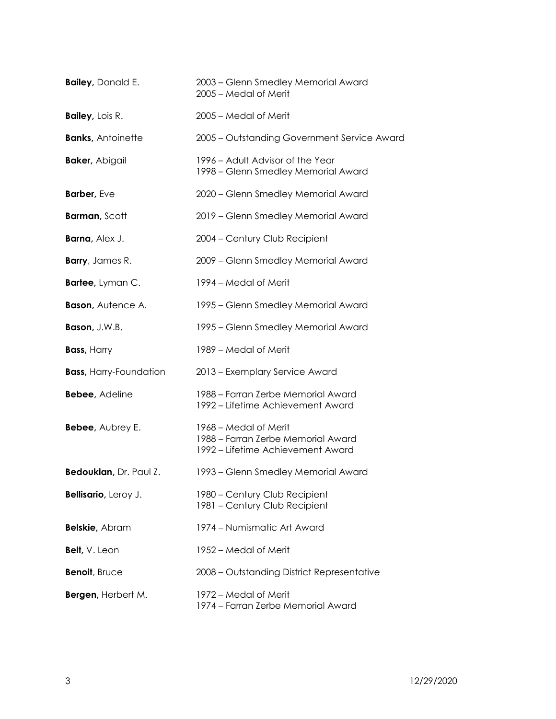| <b>Bailey, Donald E.</b>      | 2003 - Glenn Smedley Memorial Award<br>2005 - Medal of Merit                                     |
|-------------------------------|--------------------------------------------------------------------------------------------------|
| <b>Bailey, Lois R.</b>        | 2005 - Medal of Merit                                                                            |
| <b>Banks, Antoinette</b>      | 2005 - Outstanding Government Service Award                                                      |
| <b>Baker, Abigail</b>         | 1996 – Adult Advisor of the Year<br>1998 – Glenn Smedley Memorial Award                          |
| Barber, Eve                   | 2020 - Glenn Smedley Memorial Award                                                              |
| <b>Barman, Scott</b>          | 2019 - Glenn Smedley Memorial Award                                                              |
| Barna, Alex J.                | 2004 - Century Club Recipient                                                                    |
| <b>Barry</b> , James R.       | 2009 - Glenn Smedley Memorial Award                                                              |
| Bartee, Lyman C.              | 1994 – Medal of Merit                                                                            |
| <b>Bason, Autence A.</b>      | 1995 – Glenn Smedley Memorial Award                                                              |
| Bason, J.W.B.                 | 1995 – Glenn Smedley Memorial Award                                                              |
| <b>Bass, Harry</b>            | 1989 – Medal of Merit                                                                            |
| <b>Bass, Harry-Foundation</b> | 2013 - Exemplary Service Award                                                                   |
| <b>Bebee, Adeline</b>         | 1988 – Farran Zerbe Memorial Award<br>1992 – Lifetime Achievement Award                          |
| Bebee, Aubrey E.              | 1968 – Medal of Merit<br>1988 - Farran Zerbe Memorial Award<br>1992 – Lifetime Achievement Award |
| Bedoukian, Dr. Paul Z.        | 1993 – Glenn Smedley Memorial Award                                                              |
| Bellisario, Leroy J.          | 1980 - Century Club Recipient<br>1981 - Century Club Recipient                                   |
| <b>Belskie</b> , Abram        | 1974 – Numismatic Art Award                                                                      |
| <b>Belt, V. Leon</b>          | 1952 – Medal of Merit                                                                            |
| Benoit, Bruce                 | 2008 - Outstanding District Representative                                                       |
| Bergen, Herbert M.            | 1972 – Medal of Merit<br>1974 – Farran Zerbe Memorial Award                                      |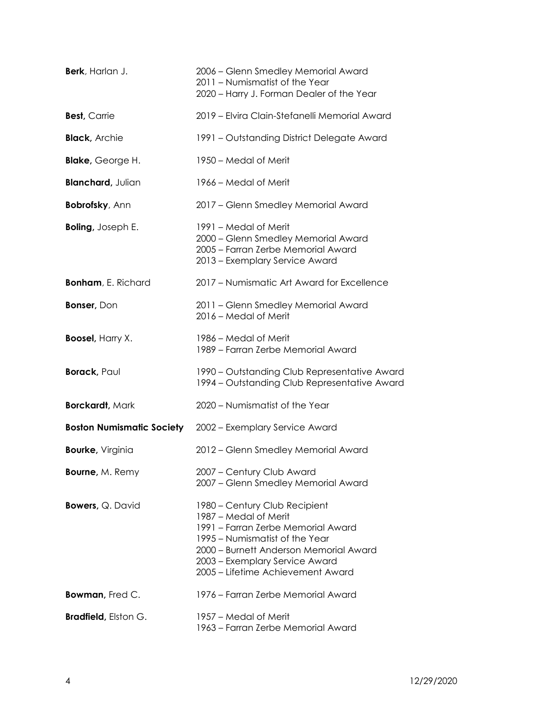| Berk, Harlan J.                  | 2006 – Glenn Smedley Memorial Award<br>2011 - Numismatist of the Year<br>2020 - Harry J. Forman Dealer of the Year                                                                                                                              |
|----------------------------------|-------------------------------------------------------------------------------------------------------------------------------------------------------------------------------------------------------------------------------------------------|
| <b>Best, Carrie</b>              | 2019 - Elvira Clain-Stefanelli Memorial Award                                                                                                                                                                                                   |
| <b>Black, Archie</b>             | 1991 - Outstanding District Delegate Award                                                                                                                                                                                                      |
| <b>Blake, George H.</b>          | 1950 – Medal of Merit                                                                                                                                                                                                                           |
| <b>Blanchard, Julian</b>         | 1966 – Medal of Merit                                                                                                                                                                                                                           |
| <b>Bobrofsky, Ann</b>            | 2017 - Glenn Smedley Memorial Award                                                                                                                                                                                                             |
| <b>Boling, Joseph E.</b>         | 1991 – Medal of Merit<br>2000 - Glenn Smedley Memorial Award<br>2005 - Farran Zerbe Memorial Award<br>2013 - Exemplary Service Award                                                                                                            |
| <b>Bonham, E. Richard</b>        | 2017 - Numismatic Art Award for Excellence                                                                                                                                                                                                      |
| <b>Bonser, Don</b>               | 2011 - Glenn Smedley Memorial Award<br>2016 - Medal of Merit                                                                                                                                                                                    |
| <b>Boosel, Harry X.</b>          | 1986 – Medal of Merit<br>1989 - Farran Zerbe Memorial Award                                                                                                                                                                                     |
| <b>Borack</b> , Paul             | 1990 - Outstanding Club Representative Award<br>1994 – Outstanding Club Representative Award                                                                                                                                                    |
| <b>Borckardt, Mark</b>           | 2020 - Numismatist of the Year                                                                                                                                                                                                                  |
| <b>Boston Numismatic Society</b> | 2002 - Exemplary Service Award                                                                                                                                                                                                                  |
| <b>Bourke, Virginia</b>          | 2012 - Glenn Smedley Memorial Award                                                                                                                                                                                                             |
| <b>Bourne, M. Remy</b>           | 2007 - Century Club Award<br>2007 - Glenn Smedley Memorial Award                                                                                                                                                                                |
| <b>Bowers, Q. David</b>          | 1980 - Century Club Recipient<br>1987 – Medal of Merit<br>1991 - Farran Zerbe Memorial Award<br>1995 - Numismatist of the Year<br>2000 – Burnett Anderson Memorial Award<br>2003 - Exemplary Service Award<br>2005 - Lifetime Achievement Award |
| Bowman, Fred C.                  | 1976 – Farran Zerbe Memorial Award                                                                                                                                                                                                              |
| <b>Bradfield</b> , Elston G.     | 1957 – Medal of Merit<br>1963 – Farran Zerbe Memorial Award                                                                                                                                                                                     |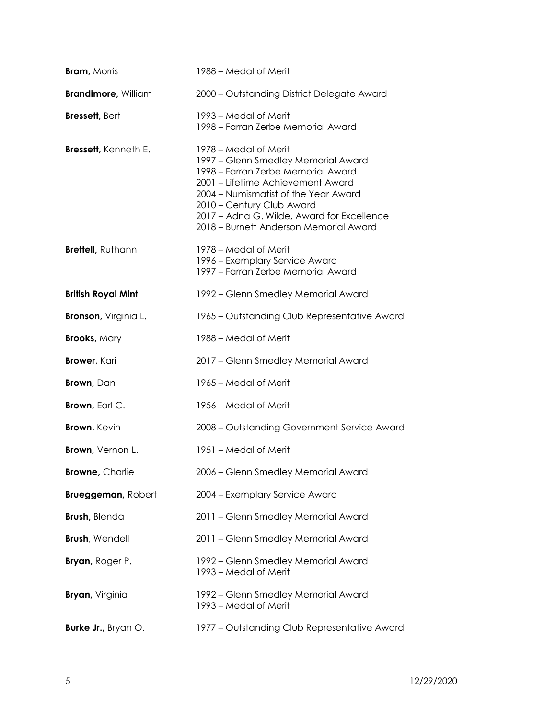| <b>Bram, Morris</b>          | 1988 – Medal of Merit                                                                                                                                                                                                                                                                                |
|------------------------------|------------------------------------------------------------------------------------------------------------------------------------------------------------------------------------------------------------------------------------------------------------------------------------------------------|
| <b>Brandimore, William</b>   | 2000 - Outstanding District Delegate Award                                                                                                                                                                                                                                                           |
| <b>Bressett, Bert</b>        | 1993 – Medal of Merit<br>1998 – Farran Zerbe Memorial Award                                                                                                                                                                                                                                          |
| <b>Bressett</b> , Kenneth E. | 1978 – Medal of Merit<br>1997 - Glenn Smedley Memorial Award<br>1998 - Farran Zerbe Memorial Award<br>2001 - Lifetime Achievement Award<br>2004 - Numismatist of the Year Award<br>2010 - Century Club Award<br>2017 - Adna G. Wilde, Award for Excellence<br>2018 - Burnett Anderson Memorial Award |
| Brettell, Ruthann            | 1978 – Medal of Merit<br>1996 - Exemplary Service Award<br>1997 - Farran Zerbe Memorial Award                                                                                                                                                                                                        |
| <b>British Royal Mint</b>    | 1992 – Glenn Smedley Memorial Award                                                                                                                                                                                                                                                                  |
| <b>Bronson</b> , Virginia L. | 1965 – Outstanding Club Representative Award                                                                                                                                                                                                                                                         |
| <b>Brooks, Mary</b>          | 1988 – Medal of Merit                                                                                                                                                                                                                                                                                |
| <b>Brower</b> , Kari         | 2017 - Glenn Smedley Memorial Award                                                                                                                                                                                                                                                                  |
| <b>Brown</b> , Dan           | 1965 – Medal of Merit                                                                                                                                                                                                                                                                                |
| <b>Brown</b> , Earl C.       | 1956 – Medal of Merit                                                                                                                                                                                                                                                                                |
| <b>Brown</b> , Kevin         | 2008 - Outstanding Government Service Award                                                                                                                                                                                                                                                          |
| <b>Brown</b> , Vernon L.     | 1951 – Medal of Merit                                                                                                                                                                                                                                                                                |
| <b>Browne, Charlie</b>       | 2006 - Glenn Smedley Memorial Award                                                                                                                                                                                                                                                                  |
| <b>Brueggeman, Robert</b>    | 2004 - Exemplary Service Award                                                                                                                                                                                                                                                                       |
| <b>Brush</b> , Blenda        | 2011 - Glenn Smedley Memorial Award                                                                                                                                                                                                                                                                  |
| <b>Brush, Wendell</b>        | 2011 - Glenn Smedley Memorial Award                                                                                                                                                                                                                                                                  |
| <b>Bryan</b> , Roger P.      | 1992 - Glenn Smedley Memorial Award<br>1993 – Medal of Merit                                                                                                                                                                                                                                         |
| <b>Bryan</b> , Virginia      | 1992 – Glenn Smedley Memorial Award<br>1993 - Medal of Merit                                                                                                                                                                                                                                         |
| Burke Jr., Bryan O.          | 1977 – Outstanding Club Representative Award                                                                                                                                                                                                                                                         |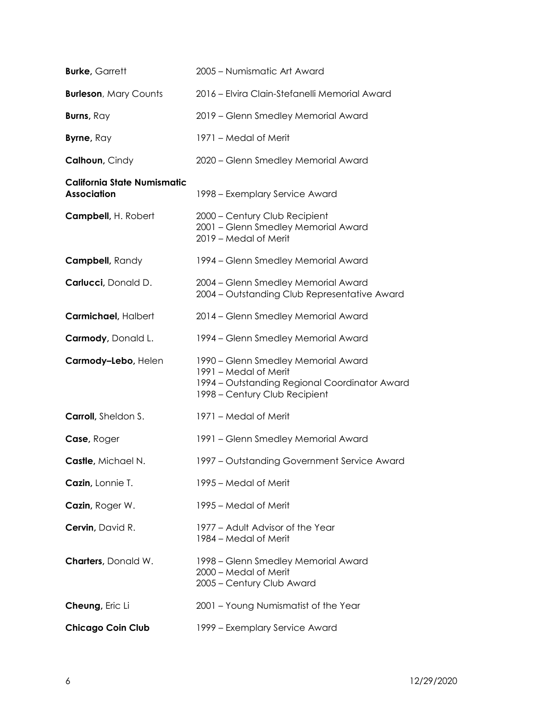| <b>Burke, Garrett</b>                             | 2005 - Numismatic Art Award                                                                                                                    |
|---------------------------------------------------|------------------------------------------------------------------------------------------------------------------------------------------------|
| <b>Burleson, Mary Counts</b>                      | 2016 - Elvira Clain-Stefanelli Memorial Award                                                                                                  |
| Burns, Ray                                        | 2019 - Glenn Smedley Memorial Award                                                                                                            |
| <b>Byrne, Ray</b>                                 | 1971 – Medal of Merit                                                                                                                          |
| Calhoun, Cindy                                    | 2020 - Glenn Smedley Memorial Award                                                                                                            |
| California State Numismatic<br><b>Association</b> | 1998 – Exemplary Service Award                                                                                                                 |
| Campbell, H. Robert                               | 2000 - Century Club Recipient<br>2001 - Glenn Smedley Memorial Award<br>2019 - Medal of Merit                                                  |
| Campbell, Randy                                   | 1994 – Glenn Smedley Memorial Award                                                                                                            |
| Carlucci, Donald D.                               | 2004 - Glenn Smedley Memorial Award<br>2004 - Outstanding Club Representative Award                                                            |
| Carmichael, Halbert                               | 2014 - Glenn Smedley Memorial Award                                                                                                            |
| Carmody, Donald L.                                | 1994 – Glenn Smedley Memorial Award                                                                                                            |
| Carmody-Lebo, Helen                               | 1990 – Glenn Smedley Memorial Award<br>1991 - Medal of Merit<br>1994 – Outstanding Regional Coordinator Award<br>1998 - Century Club Recipient |
| Carroll, Sheldon S.                               | 1971 – Medal of Merit                                                                                                                          |
| Case, Roger                                       | 1991 - Glenn Smedley Memorial Award                                                                                                            |
| Castle, Michael N.                                | 1997 - Outstanding Government Service Award                                                                                                    |
| Cazin, Lonnie T.                                  | 1995 – Medal of Merit                                                                                                                          |
| Cazin, Roger W.                                   | 1995 – Medal of Merit                                                                                                                          |
| Cervin, David R.                                  | 1977 - Adult Advisor of the Year<br>1984 – Medal of Merit                                                                                      |
| <b>Charters</b> , Donald W.                       | 1998 - Glenn Smedley Memorial Award<br>2000 - Medal of Merit<br>2005 - Century Club Award                                                      |
| Cheung, Eric Li                                   | 2001 - Young Numismatist of the Year                                                                                                           |
| <b>Chicago Coin Club</b>                          | 1999 - Exemplary Service Award                                                                                                                 |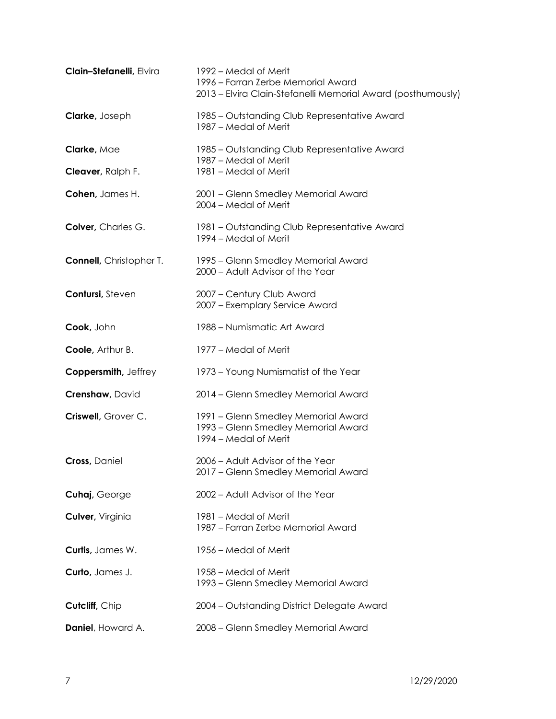| Clain-Stefanelli, Elvira        | 1992 – Medal of Merit<br>1996 - Farran Zerbe Memorial Award<br>2013 – Elvira Clain-Stefanelli Memorial Award (posthumously) |
|---------------------------------|-----------------------------------------------------------------------------------------------------------------------------|
| <b>Clarke, Joseph</b>           | 1985 – Outstanding Club Representative Award<br>1987 - Medal of Merit                                                       |
| Clarke, Mae                     | 1985 – Outstanding Club Representative Award<br>1987 – Medal of Merit                                                       |
| Cleaver, Ralph F.               | 1981 - Medal of Merit                                                                                                       |
| Cohen, James H.                 | 2001 - Glenn Smedley Memorial Award<br>2004 - Medal of Merit                                                                |
| Colver, Charles G.              | 1981 – Outstanding Club Representative Award<br>1994 – Medal of Merit                                                       |
| <b>Connell</b> , Christopher T. | 1995 – Glenn Smedley Memorial Award<br>2000 - Adult Advisor of the Year                                                     |
| Contursi, Steven                | 2007 - Century Club Award<br>2007 - Exemplary Service Award                                                                 |
| Cook, John                      | 1988 - Numismatic Art Award                                                                                                 |
| <b>Coole, Arthur B.</b>         | 1977 – Medal of Merit                                                                                                       |
| Coppersmith, Jeffrey            | 1973 - Young Numismatist of the Year                                                                                        |
| <b>Crenshaw, David</b>          | 2014 - Glenn Smedley Memorial Award                                                                                         |
| Criswell, Grover C.             | 1991 - Glenn Smedley Memorial Award<br>1993 - Glenn Smedley Memorial Award<br>1994 – Medal of Merit                         |
| <b>Cross</b> , Daniel           | 2006 - Adult Advisor of the Year<br>2017 – Glenn Smedley Memorial Award                                                     |
| Cuhaj, George                   | 2002 - Adult Advisor of the Year                                                                                            |
| Culver, Virginia                | 1981 – Medal of Merit<br>1987 – Farran Zerbe Memorial Award                                                                 |
| Curtis, James W.                | 1956 – Medal of Merit                                                                                                       |
| Curto, James J.                 | 1958 – Medal of Merit<br>1993 – Glenn Smedley Memorial Award                                                                |
| Cutcliff, Chip                  | 2004 - Outstanding District Delegate Award                                                                                  |
| Daniel, Howard A.               | 2008 - Glenn Smedley Memorial Award                                                                                         |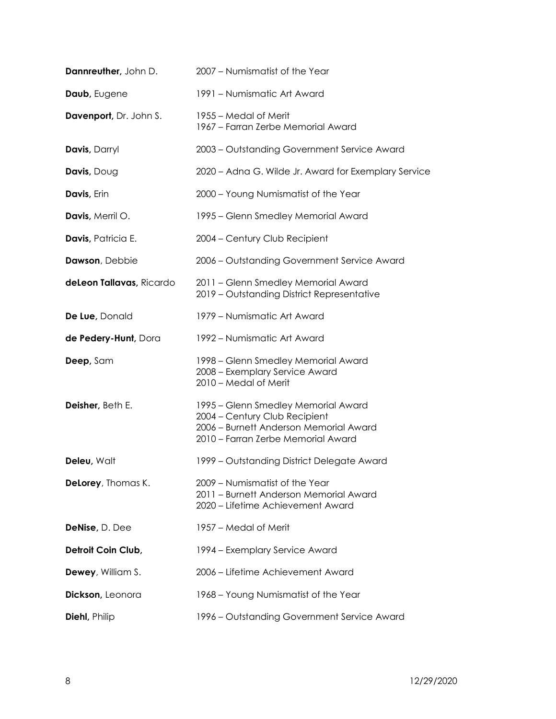| Dannreuther, John D.       | 2007 - Numismatist of the Year                                                                                                                       |
|----------------------------|------------------------------------------------------------------------------------------------------------------------------------------------------|
| Daub, Eugene               | 1991 – Numismatic Art Award                                                                                                                          |
| Davenport, Dr. John S.     | 1955 – Medal of Merit<br>1967 - Farran Zerbe Memorial Award                                                                                          |
| Davis, Darryl              | 2003 - Outstanding Government Service Award                                                                                                          |
| Davis, Doug                | 2020 - Adna G. Wilde Jr. Award for Exemplary Service                                                                                                 |
| Davis, Erin                | 2000 - Young Numismatist of the Year                                                                                                                 |
| Davis, Merril O.           | 1995 – Glenn Smedley Memorial Award                                                                                                                  |
| Davis, Patricia E.         | 2004 - Century Club Recipient                                                                                                                        |
| Dawson, Debbie             | 2006 - Outstanding Government Service Award                                                                                                          |
| deLeon Tallavas, Ricardo   | 2011 - Glenn Smedley Memorial Award<br>2019 - Outstanding District Representative                                                                    |
| De Lue, Donald             | 1979 – Numismatic Art Award                                                                                                                          |
| de Pedery-Hunt, Dora       | 1992 – Numismatic Art Award                                                                                                                          |
| Deep, Sam                  | 1998 – Glenn Smedley Memorial Award<br>2008 - Exemplary Service Award<br>2010 - Medal of Merit                                                       |
| Deisher, Beth E.           | 1995 – Glenn Smedley Memorial Award<br>2004 - Century Club Recipient<br>2006 - Burnett Anderson Memorial Award<br>2010 - Farran Zerbe Memorial Award |
| Deleu, Walt                | 1999 - Outstanding District Delegate Award                                                                                                           |
| <b>DeLorey</b> , Thomas K. | 2009 - Numismatist of the Year<br>2011 – Burnett Anderson Memorial Award<br>2020 - Lifetime Achievement Award                                        |
| DeNise, D. Dee             | 1957 – Medal of Merit                                                                                                                                |
| Detroit Coin Club,         | 1994 – Exemplary Service Award                                                                                                                       |
| <b>Dewey</b> , William S.  | 2006 - Lifetime Achievement Award                                                                                                                    |
| Dickson, Leonora           | 1968 – Young Numismatist of the Year                                                                                                                 |
| <b>Diehl</b> , Philip      | 1996 - Outstanding Government Service Award                                                                                                          |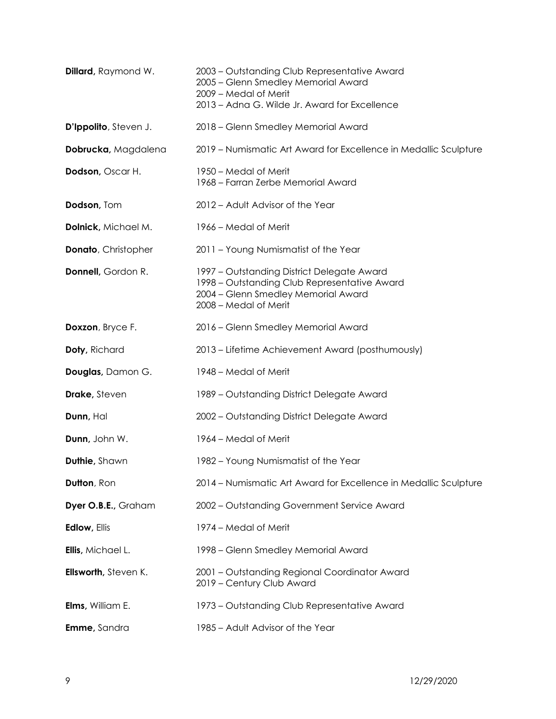| <b>Dillard</b> , Raymond W. | 2003 – Outstanding Club Representative Award<br>2005 - Glenn Smedley Memorial Award<br>2009 - Medal of Merit<br>2013 - Adna G. Wilde Jr. Award for Excellence |
|-----------------------------|---------------------------------------------------------------------------------------------------------------------------------------------------------------|
| D'Ippolito, Steven J.       | 2018 - Glenn Smedley Memorial Award                                                                                                                           |
| Dobrucka, Magdalena         | 2019 – Numismatic Art Award for Excellence in Medallic Sculpture                                                                                              |
| Dodson, Oscar H.            | 1950 – Medal of Merit<br>1968 - Farran Zerbe Memorial Award                                                                                                   |
| Dodson, Tom                 | 2012 - Adult Advisor of the Year                                                                                                                              |
| Dolnick, Michael M.         | 1966 – Medal of Merit                                                                                                                                         |
| <b>Donato</b> , Christopher | 2011 - Young Numismatist of the Year                                                                                                                          |
| Donnell, Gordon R.          | 1997 - Outstanding District Delegate Award<br>1998 – Outstanding Club Representative Award<br>2004 - Glenn Smedley Memorial Award<br>2008 - Medal of Merit    |
| Doxzon, Bryce F.            | 2016 - Glenn Smedley Memorial Award                                                                                                                           |
| Doty, Richard               | 2013 – Lifetime Achievement Award (posthumously)                                                                                                              |
| Douglas, Damon G.           | 1948 – Medal of Merit                                                                                                                                         |
| <b>Drake, Steven</b>        | 1989 - Outstanding District Delegate Award                                                                                                                    |
| Dunn, Hal                   | 2002 - Outstanding District Delegate Award                                                                                                                    |
| Dunn, John W.               | 1964 – Medal of Merit                                                                                                                                         |
| <b>Duthie, Shawn</b>        | 1982 - Young Numismatist of the Year                                                                                                                          |
| Dutton, Ron                 | 2014 – Numismatic Art Award for Excellence in Medallic Sculpture                                                                                              |
| Dyer O.B.E., Graham         | 2002 - Outstanding Government Service Award                                                                                                                   |
| <b>Edlow, Ellis</b>         | 1974 – Medal of Merit                                                                                                                                         |
| Ellis, Michael L.           | 1998 - Glenn Smedley Memorial Award                                                                                                                           |
| Ellsworth, Steven K.        | 2001 - Outstanding Regional Coordinator Award<br>2019 - Century Club Award                                                                                    |
| <b>Elms, William E.</b>     | 1973 – Outstanding Club Representative Award                                                                                                                  |
| Emme, Sandra                | 1985 - Adult Advisor of the Year                                                                                                                              |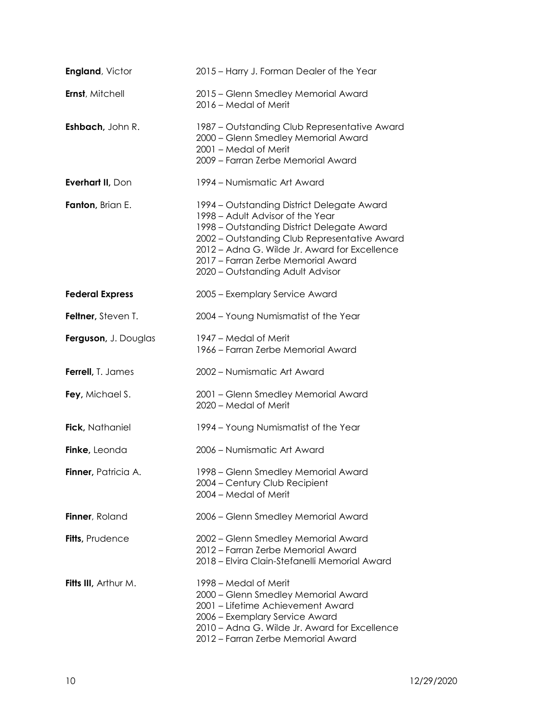| <b>England, Victor</b> | 2015 – Harry J. Forman Dealer of the Year                                                                                                                                                                                                                                                               |
|------------------------|---------------------------------------------------------------------------------------------------------------------------------------------------------------------------------------------------------------------------------------------------------------------------------------------------------|
| Ernst, Mitchell        | 2015 - Glenn Smedley Memorial Award<br>2016 - Medal of Merit                                                                                                                                                                                                                                            |
| Eshbach, John R.       | 1987 – Outstanding Club Representative Award<br>2000 - Glenn Smedley Memorial Award<br>2001 - Medal of Merit<br>2009 - Farran Zerbe Memorial Award                                                                                                                                                      |
| Everhart II, Don       | 1994 – Numismatic Art Award                                                                                                                                                                                                                                                                             |
| Fanton, Brian E.       | 1994 - Outstanding District Delegate Award<br>1998 – Adult Advisor of the Year<br>1998 - Outstanding District Delegate Award<br>2002 - Outstanding Club Representative Award<br>2012 - Adna G. Wilde Jr. Award for Excellence<br>2017 - Farran Zerbe Memorial Award<br>2020 - Outstanding Adult Advisor |
| <b>Federal Express</b> | 2005 - Exemplary Service Award                                                                                                                                                                                                                                                                          |
| Feltner, Steven T.     | 2004 - Young Numismatist of the Year                                                                                                                                                                                                                                                                    |
| Ferguson, J. Douglas   | 1947 – Medal of Merit<br>1966 - Farran Zerbe Memorial Award                                                                                                                                                                                                                                             |
| Ferrell, T. James      | 2002 - Numismatic Art Award                                                                                                                                                                                                                                                                             |
| Fey, Michael S.        | 2001 - Glenn Smedley Memorial Award<br>2020 - Medal of Merit                                                                                                                                                                                                                                            |
| Fick, Nathaniel        | 1994 – Young Numismatist of the Year                                                                                                                                                                                                                                                                    |
| Finke, Leonda          | 2006 - Numismatic Art Award                                                                                                                                                                                                                                                                             |
| Finner, Patricia A.    | 1998 - Glenn Smedley Memorial Award<br>2004 - Century Club Recipient<br>2004 - Medal of Merit                                                                                                                                                                                                           |
| Finner, Roland         | 2006 - Glenn Smedley Memorial Award                                                                                                                                                                                                                                                                     |
| Fitts, Prudence        | 2002 - Glenn Smedley Memorial Award<br>2012 – Farran Zerbe Memorial Award<br>2018 – Elvira Clain-Stefanelli Memorial Award                                                                                                                                                                              |
| Fitts III, Arthur M.   | 1998 – Medal of Merit<br>2000 - Glenn Smedley Memorial Award<br>2001 - Lifetime Achievement Award<br>2006 - Exemplary Service Award<br>2010 - Adna G. Wilde Jr. Award for Excellence<br>2012 - Farran Zerbe Memorial Award                                                                              |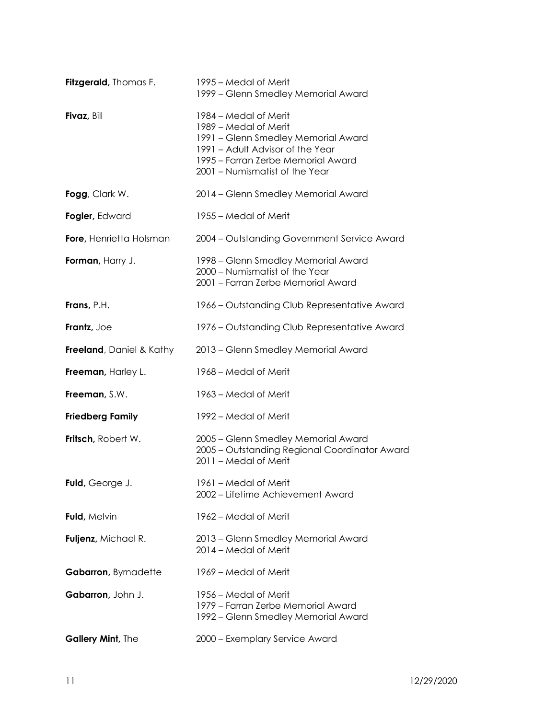| Fitzgerald, Thomas F.            | 1995 – Medal of Merit<br>1999 - Glenn Smedley Memorial Award                                                                                                                                      |
|----------------------------------|---------------------------------------------------------------------------------------------------------------------------------------------------------------------------------------------------|
| Fivaz, Bill                      | 1984 – Medal of Merit<br>1989 - Medal of Merit<br>1991 - Glenn Smedley Memorial Award<br>1991 - Adult Advisor of the Year<br>1995 - Farran Zerbe Memorial Award<br>2001 - Numismatist of the Year |
| Fogg, Clark W.                   | 2014 - Glenn Smedley Memorial Award                                                                                                                                                               |
| Fogler, Edward                   | 1955 – Medal of Merit                                                                                                                                                                             |
| Fore, Henrietta Holsman          | 2004 - Outstanding Government Service Award                                                                                                                                                       |
| Forman, Harry J.                 | 1998 – Glenn Smedley Memorial Award<br>2000 - Numismatist of the Year<br>2001 - Farran Zerbe Memorial Award                                                                                       |
| Frans, P.H.                      | 1966 – Outstanding Club Representative Award                                                                                                                                                      |
| Frantz, Joe                      | 1976 – Outstanding Club Representative Award                                                                                                                                                      |
| <b>Freeland</b> , Daniel & Kathy | 2013 - Glenn Smedley Memorial Award                                                                                                                                                               |
| Freeman, Harley L.               | 1968 – Medal of Merit                                                                                                                                                                             |
| Freeman, S.W.                    | 1963 – Medal of Merit                                                                                                                                                                             |
| <b>Friedberg Family</b>          | 1992 – Medal of Merit                                                                                                                                                                             |
| Fritsch, Robert W.               | 2005 - Glenn Smedley Memorial Award<br>2005 - Outstanding Regional Coordinator Award<br>2011 - Medal of Merit                                                                                     |
| Fuld, George J.                  | 1961 – Medal of Merit<br>2002 – Lifetime Achievement Award                                                                                                                                        |
| Fuld, Melvin                     | 1962 – Medal of Merit                                                                                                                                                                             |
| Fuljenz, Michael R.              | 2013 - Glenn Smedley Memorial Award<br>2014 – Medal of Merit                                                                                                                                      |
| Gabarron, Byrnadette             | 1969 – Medal of Merit                                                                                                                                                                             |
| Gabarron, John J.                | 1956 – Medal of Merit<br>1979 – Farran Zerbe Memorial Award<br>1992 – Glenn Smedley Memorial Award                                                                                                |
| Gallery Mint, The                | 2000 - Exemplary Service Award                                                                                                                                                                    |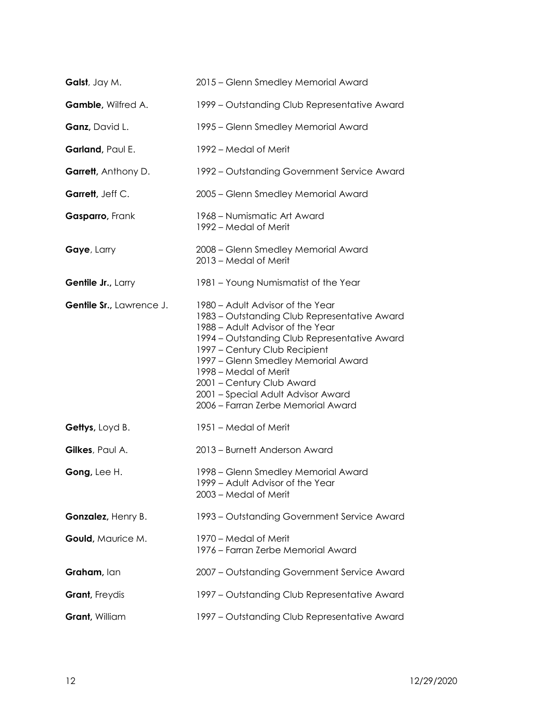| Galst, Jay M.            | 2015 - Glenn Smedley Memorial Award                                                                                                                                                                                                                                                                                                                                            |
|--------------------------|--------------------------------------------------------------------------------------------------------------------------------------------------------------------------------------------------------------------------------------------------------------------------------------------------------------------------------------------------------------------------------|
| Gamble, Wilfred A.       | 1999 - Outstanding Club Representative Award                                                                                                                                                                                                                                                                                                                                   |
| Ganz, David L.           | 1995 - Glenn Smedley Memorial Award                                                                                                                                                                                                                                                                                                                                            |
| Garland, Paul E.         | 1992 – Medal of Merit                                                                                                                                                                                                                                                                                                                                                          |
| Garrett, Anthony D.      | 1992 – Outstanding Government Service Award                                                                                                                                                                                                                                                                                                                                    |
| Garrett, Jeff C.         | 2005 - Glenn Smedley Memorial Award                                                                                                                                                                                                                                                                                                                                            |
| Gasparro, Frank          | 1968 – Numismatic Art Award<br>1992 – Medal of Merit                                                                                                                                                                                                                                                                                                                           |
| Gaye, Larry              | 2008 - Glenn Smedley Memorial Award<br>2013 - Medal of Merit                                                                                                                                                                                                                                                                                                                   |
| Gentile Jr., Larry       | 1981 - Young Numismatist of the Year                                                                                                                                                                                                                                                                                                                                           |
| Gentile Sr., Lawrence J. | 1980 - Adult Advisor of the Year<br>1983 – Outstanding Club Representative Award<br>1988 - Adult Advisor of the Year<br>1994 - Outstanding Club Representative Award<br>1997 - Century Club Recipient<br>1997 - Glenn Smedley Memorial Award<br>1998 – Medal of Merit<br>2001 - Century Club Award<br>2001 - Special Adult Advisor Award<br>2006 - Farran Zerbe Memorial Award |
| Gettys, Loyd B.          | 1951 - Medal of Merit                                                                                                                                                                                                                                                                                                                                                          |
| Gilkes, Paul A.          | 2013 - Burnett Anderson Award                                                                                                                                                                                                                                                                                                                                                  |
| Gong, Lee H.             | 1998 - Glenn Smedley Memorial Award<br>1999 - Adult Advisor of the Year<br>2003 – Medal of Merit                                                                                                                                                                                                                                                                               |
| Gonzalez, Henry B.       | 1993 – Outstanding Government Service Award                                                                                                                                                                                                                                                                                                                                    |
| Gould, Maurice M.        | 1970 – Medal of Merit<br>1976 – Farran Zerbe Memorial Award                                                                                                                                                                                                                                                                                                                    |
| Graham, Ian              | 2007 - Outstanding Government Service Award                                                                                                                                                                                                                                                                                                                                    |
| Grant, Freydis           | 1997 – Outstanding Club Representative Award                                                                                                                                                                                                                                                                                                                                   |
| Grant, William           | 1997 – Outstanding Club Representative Award                                                                                                                                                                                                                                                                                                                                   |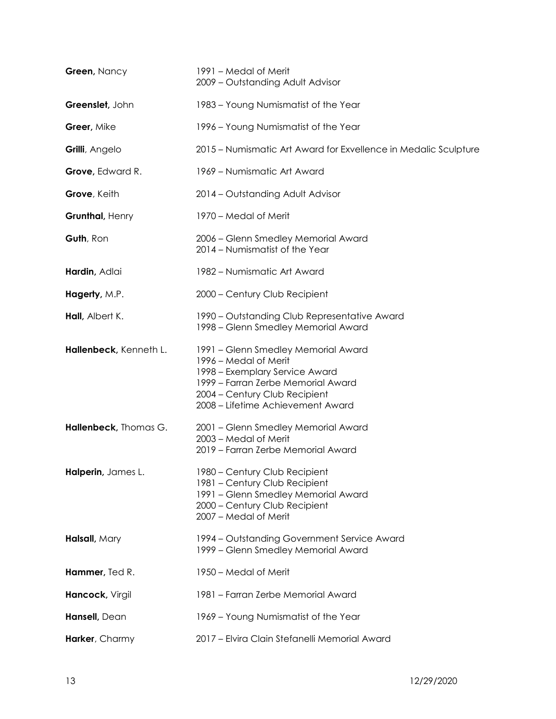| Green, Nancy           | 1991 – Medal of Merit<br>2009 - Outstanding Adult Advisor                                                                                                                                                  |
|------------------------|------------------------------------------------------------------------------------------------------------------------------------------------------------------------------------------------------------|
| Greenslet, John        | 1983 – Young Numismatist of the Year                                                                                                                                                                       |
| Greer, Mike            | 1996 - Young Numismatist of the Year                                                                                                                                                                       |
| Grilli, Angelo         | 2015 – Numismatic Art Award for Exvellence in Medalic Sculpture                                                                                                                                            |
| Grove, Edward R.       | 1969 - Numismatic Art Award                                                                                                                                                                                |
| Grove, Keith           | 2014 - Outstanding Adult Advisor                                                                                                                                                                           |
| Grunthal, Henry        | 1970 – Medal of Merit                                                                                                                                                                                      |
| Guth, Ron              | 2006 - Glenn Smedley Memorial Award<br>2014 - Numismatist of the Year                                                                                                                                      |
| Hardin, Adlai          | 1982 - Numismatic Art Award                                                                                                                                                                                |
| Hagerty, M.P.          | 2000 - Century Club Recipient                                                                                                                                                                              |
| Hall, Albert K.        | 1990 - Outstanding Club Representative Award<br>1998 - Glenn Smedley Memorial Award                                                                                                                        |
| Hallenbeck, Kenneth L. | 1991 - Glenn Smedley Memorial Award<br>1996 – Medal of Merit<br>1998 - Exemplary Service Award<br>1999 - Farran Zerbe Memorial Award<br>2004 - Century Club Recipient<br>2008 - Lifetime Achievement Award |
| Hallenbeck, Thomas G.  | 2001 - Glenn Smedley Memorial Award<br>2003 - Medal of Merit<br>2019 - Farran Zerbe Memorial Award                                                                                                         |
| Halperin, James L.     | 1980 - Century Club Recipient<br>1981 - Century Club Recipient<br>1991 - Glenn Smedley Memorial Award<br>2000 - Century Club Recipient<br>2007 - Medal of Merit                                            |
| Halsall, Mary          | 1994 – Outstanding Government Service Award<br>1999 - Glenn Smedley Memorial Award                                                                                                                         |
| Hammer, Ted R.         | 1950 – Medal of Merit                                                                                                                                                                                      |
| Hancock, Virgil        | 1981 - Farran Zerbe Memorial Award                                                                                                                                                                         |
| Hansell, Dean          | 1969 - Young Numismatist of the Year                                                                                                                                                                       |
| Harker, Charmy         | 2017 - Elvira Clain Stefanelli Memorial Award                                                                                                                                                              |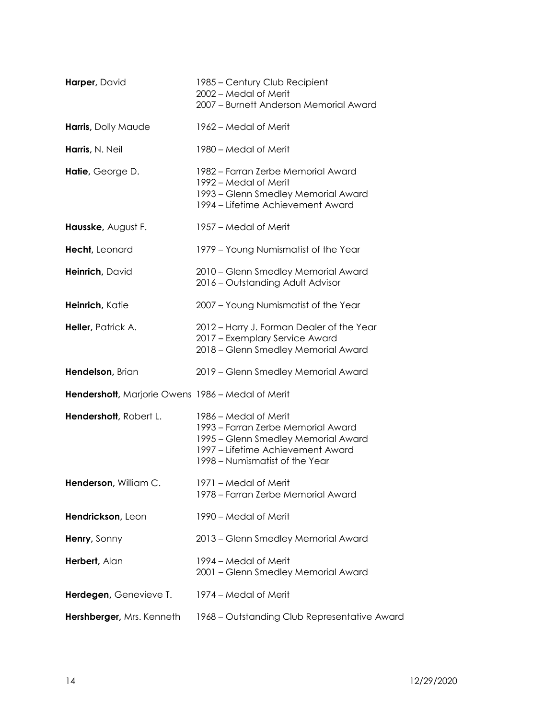| Harper, David                                     | 1985 – Century Club Recipient<br>2002 - Medal of Merit<br>2007 - Burnett Anderson Memorial Award                                                                          |
|---------------------------------------------------|---------------------------------------------------------------------------------------------------------------------------------------------------------------------------|
| Harris, Dolly Maude                               | 1962 – Medal of Merit                                                                                                                                                     |
| Harris, N. Neil                                   | 1980 – Medal of Merit                                                                                                                                                     |
| Hatie, George D.                                  | 1982 – Farran Zerbe Memorial Award<br>1992 – Medal of Merit<br>1993 – Glenn Smedley Memorial Award<br>1994 – Lifetime Achievement Award                                   |
| Hausske, August F.                                | 1957 - Medal of Merit                                                                                                                                                     |
| Hecht, Leonard                                    | 1979 - Young Numismatist of the Year                                                                                                                                      |
| Heinrich, David                                   | 2010 - Glenn Smedley Memorial Award<br>2016 - Outstanding Adult Advisor                                                                                                   |
| Heinrich, Katie                                   | 2007 - Young Numismatist of the Year                                                                                                                                      |
| Heller, Patrick A.                                | 2012 - Harry J. Forman Dealer of the Year<br>2017 - Exemplary Service Award<br>2018 - Glenn Smedley Memorial Award                                                        |
| Hendelson, Brian                                  | 2019 - Glenn Smedley Memorial Award                                                                                                                                       |
| Hendershott, Marjorie Owens 1986 - Medal of Merit |                                                                                                                                                                           |
| Hendershott, Robert L.                            | 1986 – Medal of Merit<br>1993 - Farran Zerbe Memorial Award<br>1995 – Glenn Smedley Memorial Award<br>1997 – Lifetime Achievement Award<br>1998 – Numismatist of the Year |
| Henderson, William C.                             | 1971 - Medal of Merit<br>1978 – Farran Zerbe Memorial Award                                                                                                               |
| Hendrickson, Leon                                 | 1990 – Medal of Merit                                                                                                                                                     |
| Henry, Sonny                                      | 2013 - Glenn Smedley Memorial Award                                                                                                                                       |
| Herbert, Alan                                     | 1994 – Medal of Merit<br>2001 - Glenn Smedley Memorial Award                                                                                                              |
| Herdegen, Genevieve T.                            | 1974 - Medal of Merit                                                                                                                                                     |
| Hershberger, Mrs. Kenneth                         | 1968 – Outstanding Club Representative Award                                                                                                                              |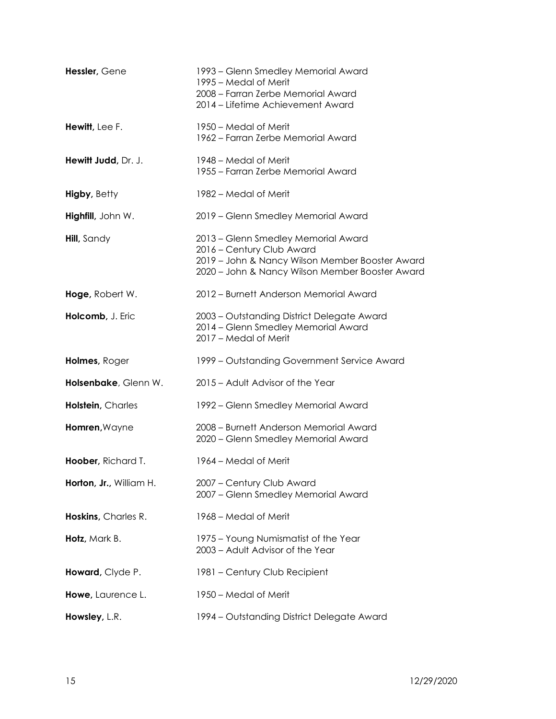| Hessler, Gene           | 1993 – Glenn Smedley Memorial Award<br>1995 – Medal of Merit<br>2008 - Farran Zerbe Memorial Award<br>2014 - Lifetime Achievement Award                                |
|-------------------------|------------------------------------------------------------------------------------------------------------------------------------------------------------------------|
| Hewitt, Lee F.          | 1950 – Medal of Merit<br>1962 – Farran Zerbe Memorial Award                                                                                                            |
| Hewitt Judd, Dr. J.     | 1948 – Medal of Merit<br>1955 – Farran Zerbe Memorial Award                                                                                                            |
| <b>Higby, Betty</b>     | 1982 – Medal of Merit                                                                                                                                                  |
| Highfill, John W.       | 2019 - Glenn Smedley Memorial Award                                                                                                                                    |
| Hill, Sandy             | 2013 - Glenn Smedley Memorial Award<br>2016 - Century Club Award<br>2019 - John & Nancy Wilson Member Booster Award<br>2020 - John & Nancy Wilson Member Booster Award |
| Hoge, Robert W.         | 2012 - Burnett Anderson Memorial Award                                                                                                                                 |
| Holcomb, J. Eric        | 2003 - Outstanding District Delegate Award<br>2014 - Glenn Smedley Memorial Award<br>2017 - Medal of Merit                                                             |
| Holmes, Roger           | 1999 – Outstanding Government Service Award                                                                                                                            |
| Holsenbake, Glenn W.    | 2015 – Adult Advisor of the Year                                                                                                                                       |
| Holstein, Charles       | 1992 – Glenn Smedley Memorial Award                                                                                                                                    |
| Homren, Wayne           | 2008 - Burnett Anderson Memorial Award<br>2020 - Glenn Smedley Memorial Award                                                                                          |
| Hoober, Richard T.      | 1964 – Medal of Merit                                                                                                                                                  |
| Horton, Jr., William H. | 2007 - Century Club Award<br>2007 - Glenn Smedley Memorial Award                                                                                                       |
| Hoskins, Charles R.     | 1968 – Medal of Merit                                                                                                                                                  |
| Hotz, Mark B.           | 1975 – Young Numismatist of the Year<br>2003 - Adult Advisor of the Year                                                                                               |
| Howard, Clyde P.        | 1981 – Century Club Recipient                                                                                                                                          |
| Howe, Laurence L.       | 1950 – Medal of Merit                                                                                                                                                  |
| Howsley, L.R.           | 1994 – Outstanding District Delegate Award                                                                                                                             |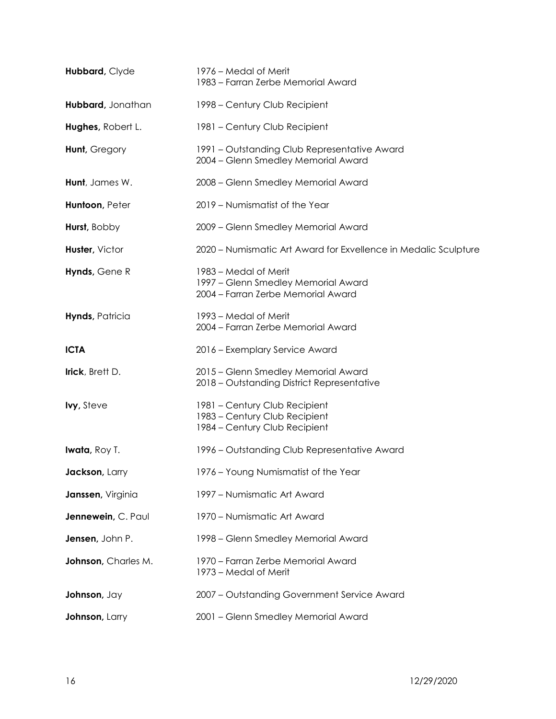| Hubbard, Clyde         | 1976 – Medal of Merit<br>1983 - Farran Zerbe Memorial Award                                        |
|------------------------|----------------------------------------------------------------------------------------------------|
| Hubbard, Jonathan      | 1998 – Century Club Recipient                                                                      |
| Hughes, Robert L.      | 1981 - Century Club Recipient                                                                      |
| Hunt, Gregory          | 1991 – Outstanding Club Representative Award<br>2004 - Glenn Smedley Memorial Award                |
| Hunt, James W.         | 2008 - Glenn Smedley Memorial Award                                                                |
| Huntoon, Peter         | 2019 - Numismatist of the Year                                                                     |
| Hurst, Bobby           | 2009 - Glenn Smedley Memorial Award                                                                |
| Huster, Victor         | 2020 – Numismatic Art Award for Exvellence in Medalic Sculpture                                    |
| Hynds, Gene R          | 1983 - Medal of Merit<br>1997 - Glenn Smedley Memorial Award<br>2004 - Farran Zerbe Memorial Award |
| Hynds, Patricia        | 1993 – Medal of Merit<br>2004 - Farran Zerbe Memorial Award                                        |
| <b>ICTA</b>            | 2016 - Exemplary Service Award                                                                     |
| Irick, Brett D.        | 2015 - Glenn Smedley Memorial Award<br>2018 - Outstanding District Representative                  |
| <b>lvy</b> , Steve     | 1981 - Century Club Recipient<br>1983 - Century Club Recipient<br>1984 – Century Club Recipient    |
| <b>Iwata</b> , Roy T.  | 1996 – Outstanding Club Representative Award                                                       |
| <b>Jackson</b> , Larry | 1976 - Young Numismatist of the Year                                                               |
| Janssen, Virginia      | 1997 - Numismatic Art Award                                                                        |
| Jennewein, C. Paul     | 1970 - Numismatic Art Award                                                                        |
| Jensen, John P.        | 1998 – Glenn Smedley Memorial Award                                                                |
| Johnson, Charles M.    | 1970 - Farran Zerbe Memorial Award<br>1973 – Medal of Merit                                        |
| Johnson, Jay           | 2007 - Outstanding Government Service Award                                                        |
| Johnson, Larry         | 2001 - Glenn Smedley Memorial Award                                                                |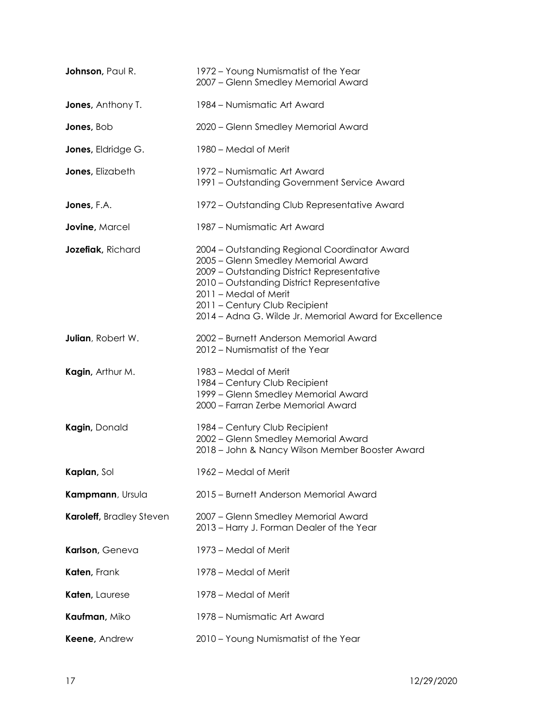| Johnson, Paul R.           | 1972 - Young Numismatist of the Year<br>2007 - Glenn Smedley Memorial Award                                                                                                                                                                                                                          |
|----------------------------|------------------------------------------------------------------------------------------------------------------------------------------------------------------------------------------------------------------------------------------------------------------------------------------------------|
| <b>Jones</b> , Anthony T.  | 1984 – Numismatic Art Award                                                                                                                                                                                                                                                                          |
| Jones, Bob                 | 2020 – Glenn Smedley Memorial Award                                                                                                                                                                                                                                                                  |
| <b>Jones</b> , Eldridge G. | 1980 – Medal of Merit                                                                                                                                                                                                                                                                                |
| Jones, Elizabeth           | 1972 – Numismatic Art Award<br>1991 – Outstanding Government Service Award                                                                                                                                                                                                                           |
| Jones, F.A.                | 1972 – Outstanding Club Representative Award                                                                                                                                                                                                                                                         |
| Jovine, Marcel             | 1987 – Numismatic Art Award                                                                                                                                                                                                                                                                          |
| Jozefiak, Richard          | 2004 - Outstanding Regional Coordinator Award<br>2005 - Glenn Smedley Memorial Award<br>2009 - Outstanding District Representative<br>2010 - Outstanding District Representative<br>2011 - Medal of Merit<br>2011 - Century Club Recipient<br>2014 - Adna G. Wilde Jr. Memorial Award for Excellence |
| Julian, Robert W.          | 2002 - Burnett Anderson Memorial Award<br>2012 - Numismatist of the Year                                                                                                                                                                                                                             |
| Kagin, Arthur M.           | 1983 – Medal of Merit<br>1984 – Century Club Recipient<br>1999 - Glenn Smedley Memorial Award<br>2000 - Farran Zerbe Memorial Award                                                                                                                                                                  |
| Kagin, Donald              | 1984 - Century Club Recipient<br>2002 - Glenn Smedley Memorial Award<br>2018 - John & Nancy Wilson Member Booster Award                                                                                                                                                                              |
| Kaplan, Sol                | 1962 - Medal of Merit                                                                                                                                                                                                                                                                                |
| Kampmann, Ursula           | 2015 - Burnett Anderson Memorial Award                                                                                                                                                                                                                                                               |
| Karoleff, Bradley Steven   | 2007 - Glenn Smedley Memorial Award<br>2013 - Harry J. Forman Dealer of the Year                                                                                                                                                                                                                     |
| Karlson, Geneva            | 1973 – Medal of Merit                                                                                                                                                                                                                                                                                |
| Katen, Frank               | 1978 – Medal of Merit                                                                                                                                                                                                                                                                                |
| Katen, Laurese             | 1978 – Medal of Merit                                                                                                                                                                                                                                                                                |
| Kaufman, Miko              | 1978 – Numismatic Art Award                                                                                                                                                                                                                                                                          |
| Keene, Andrew              | 2010 - Young Numismatist of the Year                                                                                                                                                                                                                                                                 |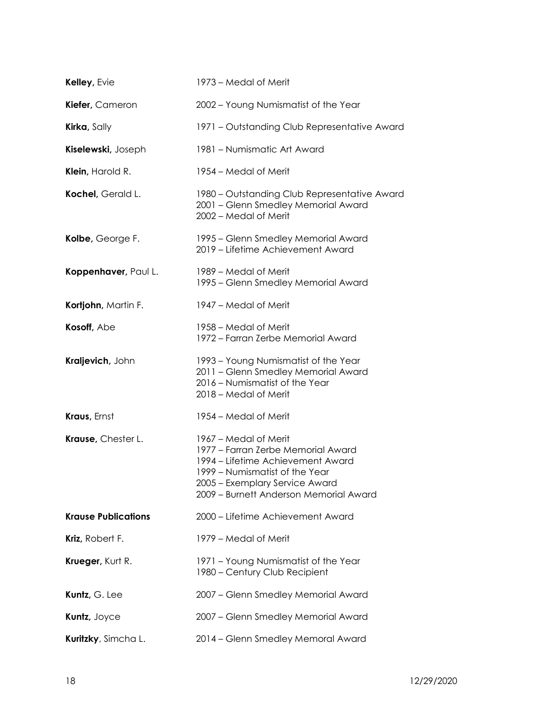| Kelley, Evie               | 1973 – Medal of Merit                                                                                                                                                                                          |
|----------------------------|----------------------------------------------------------------------------------------------------------------------------------------------------------------------------------------------------------------|
| Kiefer, Cameron            | 2002 - Young Numismatist of the Year                                                                                                                                                                           |
| Kirka, Sally               | 1971 – Outstanding Club Representative Award                                                                                                                                                                   |
| Kiselewski, Joseph         | 1981 - Numismatic Art Award                                                                                                                                                                                    |
| Klein, Harold R.           | 1954 – Medal of Merit                                                                                                                                                                                          |
| Kochel, Gerald L.          | 1980 – Outstanding Club Representative Award<br>2001 - Glenn Smedley Memorial Award<br>2002 - Medal of Merit                                                                                                   |
| Kolbe, George F.           | 1995 – Glenn Smedley Memorial Award<br>2019 - Lifetime Achievement Award                                                                                                                                       |
| Koppenhaver, Paul L.       | 1989 – Medal of Merit<br>1995 – Glenn Smedley Memorial Award                                                                                                                                                   |
| Kortjohn, Martin F.        | 1947 – Medal of Merit                                                                                                                                                                                          |
| Kosoff, Abe                | 1958 – Medal of Merit<br>1972 - Farran Zerbe Memorial Award                                                                                                                                                    |
| Kraljevich, John           | 1993 – Young Numismatist of the Year<br>2011 - Glenn Smedley Memorial Award<br>2016 - Numismatist of the Year<br>2018 – Medal of Merit                                                                         |
| Kraus, Ernst               | 1954 – Medal of Merit                                                                                                                                                                                          |
| Krause, Chester L.         | 1967 – Medal of Merit<br>1977 - Farran Zerbe Memorial Award<br>1994 – Lifetime Achievement Award<br>1999 – Numismatist of the Year<br>2005 - Exemplary Service Award<br>2009 – Burnett Anderson Memorial Award |
| <b>Krause Publications</b> | 2000 - Lifetime Achievement Award                                                                                                                                                                              |
| Kriz, Robert F.            | 1979 - Medal of Merit                                                                                                                                                                                          |
| Krueger, Kurt R.           | 1971 - Young Numismatist of the Year<br>1980 - Century Club Recipient                                                                                                                                          |
| Kuntz, G. Lee              | 2007 - Glenn Smedley Memorial Award                                                                                                                                                                            |
| Kuntz, Joyce               | 2007 - Glenn Smedley Memorial Award                                                                                                                                                                            |
| Kuritzky, Simcha L.        | 2014 - Glenn Smedley Memoral Award                                                                                                                                                                             |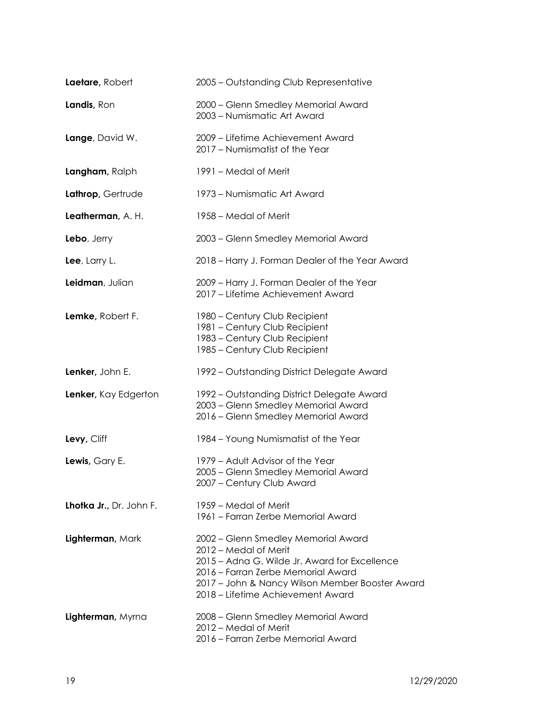| Laetare, Robert         | 2005 - Outstanding Club Representative                                                                                                                                                                                                      |
|-------------------------|---------------------------------------------------------------------------------------------------------------------------------------------------------------------------------------------------------------------------------------------|
| Landis, Ron             | 2000 - Glenn Smedley Memorial Award<br>2003 - Numismatic Art Award                                                                                                                                                                          |
| Lange, David W.         | 2009 - Lifetime Achievement Award<br>2017 - Numismatist of the Year                                                                                                                                                                         |
| Langham, Ralph          | 1991 – Medal of Merit                                                                                                                                                                                                                       |
| Lathrop, Gertrude       | 1973 – Numismatic Art Award                                                                                                                                                                                                                 |
| Leatherman, A. H.       | 1958 – Medal of Merit                                                                                                                                                                                                                       |
| Lebo, Jerry             | 2003 - Glenn Smedley Memorial Award                                                                                                                                                                                                         |
| Lee, Larry L.           | 2018 – Harry J. Forman Dealer of the Year Award                                                                                                                                                                                             |
| Leidman, Julian         | 2009 - Harry J. Forman Dealer of the Year<br>2017 - Lifetime Achievement Award                                                                                                                                                              |
| Lemke, Robert F.        | 1980 – Century Club Recipient<br>1981 - Century Club Recipient<br>1983 - Century Club Recipient<br>1985 - Century Club Recipient                                                                                                            |
| Lenker, John E.         | 1992 – Outstanding District Delegate Award                                                                                                                                                                                                  |
| Lenker, Kay Edgerton    | 1992 – Outstanding District Delegate Award<br>2003 - Glenn Smedley Memorial Award<br>2016 - Glenn Smedley Memorial Award                                                                                                                    |
| Levy, Cliff             | 1984 - Young Numismatist of the Year                                                                                                                                                                                                        |
| Lewis, Gary E.          | 1979 - Adult Advisor of the Year<br>2005 - Glenn Smedley Memorial Award<br>2007 - Century Club Award                                                                                                                                        |
| Lhotka Jr., Dr. John F. | 1959 – Medal of Merit<br>1961 - Farran Zerbe Memorial Award                                                                                                                                                                                 |
| Lighterman, Mark        | 2002 - Glenn Smedley Memorial Award<br>2012 – Medal of Merit<br>2015 - Adna G. Wilde Jr. Award for Excellence<br>2016 - Farran Zerbe Memorial Award<br>2017 - John & Nancy Wilson Member Booster Award<br>2018 – Lifetime Achievement Award |
| Lighterman, Myrna       | 2008 - Glenn Smedley Memorial Award<br>2012 - Medal of Merit<br>2016 - Farran Zerbe Memorial Award                                                                                                                                          |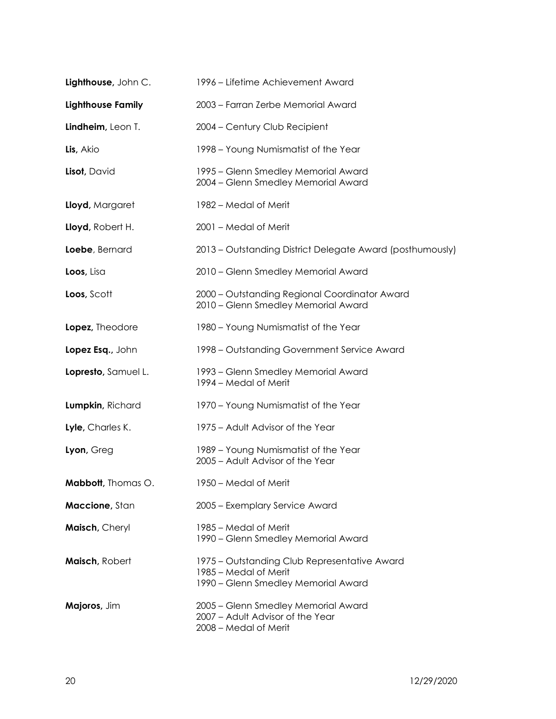| Lighthouse, John C.      | 1996 – Lifetime Achievement Award                                                                            |
|--------------------------|--------------------------------------------------------------------------------------------------------------|
| <b>Lighthouse Family</b> | 2003 - Farran Zerbe Memorial Award                                                                           |
| Lindheim, Leon T.        | 2004 - Century Club Recipient                                                                                |
| Lis, Akio                | 1998 – Young Numismatist of the Year                                                                         |
| Lisot, David             | 1995 – Glenn Smedley Memorial Award<br>2004 - Glenn Smedley Memorial Award                                   |
| Lloyd, Margaret          | 1982 – Medal of Merit                                                                                        |
| Lloyd, Robert H.         | 2001 - Medal of Merit                                                                                        |
| Loebe, Bernard           | 2013 - Outstanding District Delegate Award (posthumously)                                                    |
| Loos, Lisa               | 2010 - Glenn Smedley Memorial Award                                                                          |
| Loos, Scott              | 2000 - Outstanding Regional Coordinator Award<br>2010 - Glenn Smedley Memorial Award                         |
| Lopez, Theodore          | 1980 - Young Numismatist of the Year                                                                         |
| Lopez Esq., John         | 1998 – Outstanding Government Service Award                                                                  |
| Lopresto, Samuel L.      | 1993 – Glenn Smedley Memorial Award<br>1994 – Medal of Merit                                                 |
| Lumpkin, Richard         | 1970 - Young Numismatist of the Year                                                                         |
| Lyle, Charles K.         | 1975 – Adult Advisor of the Year                                                                             |
| Lyon, Greg               | 1989 - Young Numismatist of the Year<br>2005 - Adult Advisor of the Year                                     |
| Mabbott, Thomas O.       | 1950 - Medal of Merit                                                                                        |
| Maccione, Stan           | 2005 - Exemplary Service Award                                                                               |
| Maisch, Cheryl           | 1985 – Medal of Merit<br>1990 - Glenn Smedley Memorial Award                                                 |
| Maisch, Robert           | 1975 – Outstanding Club Representative Award<br>1985 – Medal of Merit<br>1990 - Glenn Smedley Memorial Award |
| Majoros, Jim             | 2005 - Glenn Smedley Memorial Award<br>2007 - Adult Advisor of the Year<br>2008 - Medal of Merit             |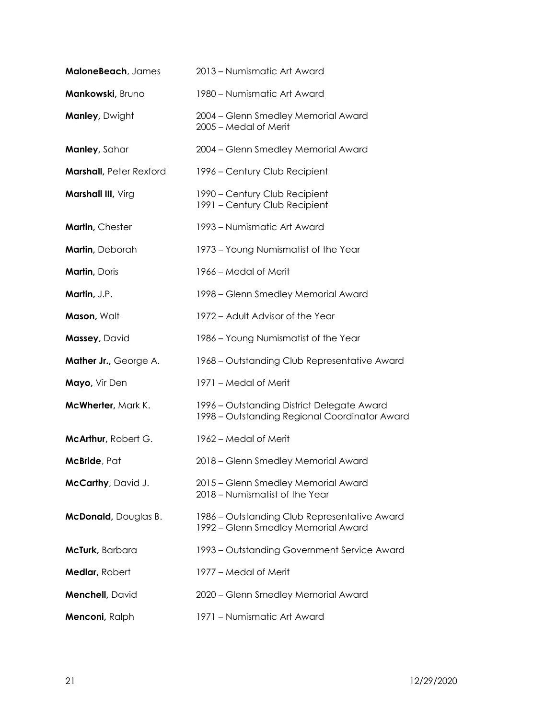| MaloneBeach, James             | 2013 - Numismatic Art Award                                                                 |
|--------------------------------|---------------------------------------------------------------------------------------------|
| Mankowski, Bruno               | 1980 – Numismatic Art Award                                                                 |
| <b>Manley, Dwight</b>          | 2004 - Glenn Smedley Memorial Award<br>2005 - Medal of Merit                                |
| Manley, Sahar                  | 2004 - Glenn Smedley Memorial Award                                                         |
| <b>Marshall, Peter Rexford</b> | 1996 – Century Club Recipient                                                               |
| Marshall III, Virg             | 1990 - Century Club Recipient<br>1991 - Century Club Recipient                              |
| Martin, Chester                | 1993 – Numismatic Art Award                                                                 |
| Martin, Deborah                | 1973 – Young Numismatist of the Year                                                        |
| Martin, Doris                  | 1966 – Medal of Merit                                                                       |
| Martin, J.P.                   | 1998 - Glenn Smedley Memorial Award                                                         |
| Mason, Walt                    | 1972 – Adult Advisor of the Year                                                            |
| Massey, David                  | 1986 - Young Numismatist of the Year                                                        |
| Mather Jr., George A.          | 1968 – Outstanding Club Representative Award                                                |
| Mayo, Vir Den                  | 1971 - Medal of Merit                                                                       |
| McWherter, Mark K.             | 1996 - Outstanding District Delegate Award<br>1998 - Outstanding Regional Coordinator Award |
| McArthur, Robert G.            | 1962 – Medal of Merit                                                                       |
| McBride, Pat                   | 2018 - Glenn Smedley Memorial Award                                                         |
| McCarthy, David J.             | 2015 - Glenn Smedley Memorial Award<br>2018 – Numismatist of the Year                       |
| McDonald, Douglas B.           | 1986 – Outstanding Club Representative Award<br>1992 – Glenn Smedley Memorial Award         |
| McTurk, Barbara                | 1993 – Outstanding Government Service Award                                                 |
| Medlar, Robert                 | 1977 – Medal of Merit                                                                       |
| Menchell, David                | 2020 - Glenn Smedley Memorial Award                                                         |
| Menconi, Ralph                 | 1971 - Numismatic Art Award                                                                 |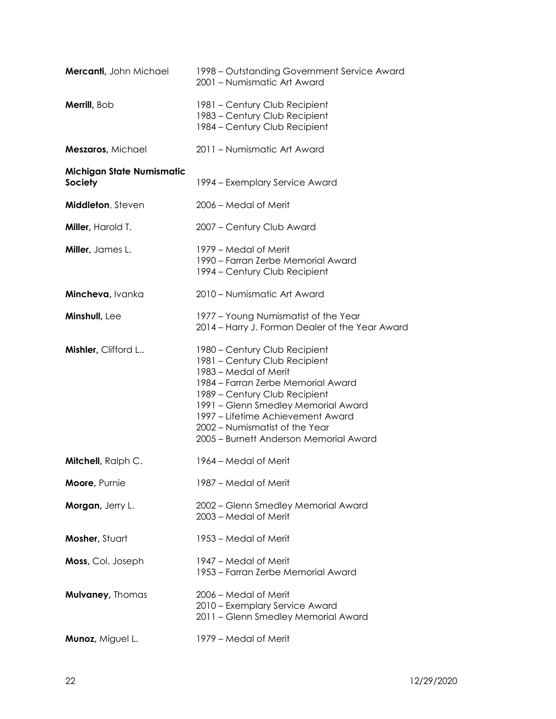| Mercanti, John Michael                      | 1998 – Outstanding Government Service Award<br>2001 - Numismatic Art Award                                                                                                                                                                                                                                             |
|---------------------------------------------|------------------------------------------------------------------------------------------------------------------------------------------------------------------------------------------------------------------------------------------------------------------------------------------------------------------------|
| Merrill, Bob                                | 1981 - Century Club Recipient<br>1983 - Century Club Recipient<br>1984 - Century Club Recipient                                                                                                                                                                                                                        |
| Meszaros, Michael                           | 2011 - Numismatic Art Award                                                                                                                                                                                                                                                                                            |
| Michigan State Numismatic<br><b>Society</b> | 1994 – Exemplary Service Award                                                                                                                                                                                                                                                                                         |
| Middleton, Steven                           | 2006 – Medal of Merit                                                                                                                                                                                                                                                                                                  |
| Miller, Harold T.                           | 2007 - Century Club Award                                                                                                                                                                                                                                                                                              |
| Miller, James L.                            | 1979 – Medal of Merit<br>1990 – Farran Zerbe Memorial Award<br>1994 – Century Club Recipient                                                                                                                                                                                                                           |
| Mincheva, Ivanka                            | 2010 – Numismatic Art Award                                                                                                                                                                                                                                                                                            |
| Minshull, Lee                               | 1977 - Young Numismatist of the Year<br>2014 - Harry J. Forman Dealer of the Year Award                                                                                                                                                                                                                                |
| Mishler, Clifford L                         | 1980 - Century Club Recipient<br>1981 - Century Club Recipient<br>1983 – Medal of Merit<br>1984 - Farran Zerbe Memorial Award<br>1989 - Century Club Recipient<br>1991 - Glenn Smedley Memorial Award<br>1997 – Lifetime Achievement Award<br>2002 – Numismatist of the Year<br>2005 - Burnett Anderson Memorial Award |
| <b>Mitchell</b> , Ralph C.                  | 1964 – Medal of Merit                                                                                                                                                                                                                                                                                                  |
| Moore, Purnie                               | 1987 – Medal of Merit                                                                                                                                                                                                                                                                                                  |
| Morgan, Jerry L.                            | 2002 - Glenn Smedley Memorial Award<br>2003 – Medal of Merit                                                                                                                                                                                                                                                           |
| Mosher, Stuart                              | 1953 – Medal of Merit                                                                                                                                                                                                                                                                                                  |
| Moss, Col. Joseph                           | 1947 – Medal of Merit<br>1953 – Farran Zerbe Memorial Award                                                                                                                                                                                                                                                            |
| <b>Mulvaney, Thomas</b>                     | 2006 – Medal of Merit<br>2010 - Exemplary Service Award<br>2011 - Glenn Smedley Memorial Award                                                                                                                                                                                                                         |
| Munoz, Miguel L.                            | 1979 – Medal of Merit                                                                                                                                                                                                                                                                                                  |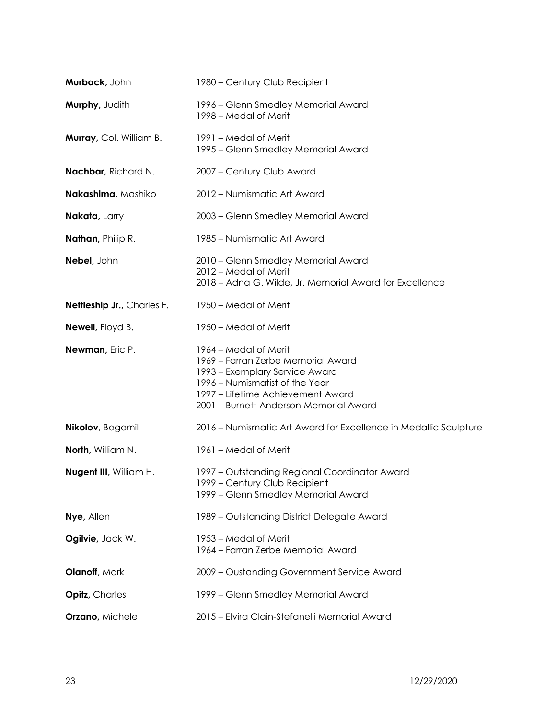| Murback, John              | 1980 - Century Club Recipient                                                                                                                                                                                  |
|----------------------------|----------------------------------------------------------------------------------------------------------------------------------------------------------------------------------------------------------------|
| Murphy, Judith             | 1996 – Glenn Smedley Memorial Award<br>1998 – Medal of Merit                                                                                                                                                   |
| Murray, Col. William B.    | 1991 – Medal of Merit<br>1995 – Glenn Smedley Memorial Award                                                                                                                                                   |
| Nachbar, Richard N.        | 2007 - Century Club Award                                                                                                                                                                                      |
| Nakashima, Mashiko         | 2012 - Numismatic Art Award                                                                                                                                                                                    |
| Nakata, Larry              | 2003 - Glenn Smedley Memorial Award                                                                                                                                                                            |
| Nathan, Philip R.          | 1985 - Numismatic Art Award                                                                                                                                                                                    |
| Nebel, John                | 2010 - Glenn Smedley Memorial Award<br>2012 – Medal of Merit<br>2018 - Adna G. Wilde, Jr. Memorial Award for Excellence                                                                                        |
| Nettleship Jr., Charles F. | 1950 – Medal of Merit                                                                                                                                                                                          |
| Newell, Floyd B.           | 1950 – Medal of Merit                                                                                                                                                                                          |
| Newman, Eric P.            | 1964 – Medal of Merit<br>1969 - Farran Zerbe Memorial Award<br>1993 – Exemplary Service Award<br>1996 - Numismatist of the Year<br>1997 - Lifetime Achievement Award<br>2001 - Burnett Anderson Memorial Award |
| Nikolov, Bogomil           | 2016 – Numismatic Art Award for Excellence in Medallic Sculpture                                                                                                                                               |
| North, William N.          | 1961 – Medal of Merit                                                                                                                                                                                          |
| Nugent III, William H.     | 1997 - Outstanding Regional Coordinator Award<br>1999 - Century Club Recipient<br>1999 - Glenn Smedley Memorial Award                                                                                          |
| Nye, Allen                 | 1989 - Outstanding District Delegate Award                                                                                                                                                                     |
| Ogilvie, Jack W.           | 1953 – Medal of Merit<br>1964 – Farran Zerbe Memorial Award                                                                                                                                                    |
| Olanoff, Mark              | 2009 - Oustanding Government Service Award                                                                                                                                                                     |
| <b>Opitz</b> , Charles     | 1999 – Glenn Smedley Memorial Award                                                                                                                                                                            |
| Orzano, Michele            | 2015 - Elvira Clain-Stefanelli Memorial Award                                                                                                                                                                  |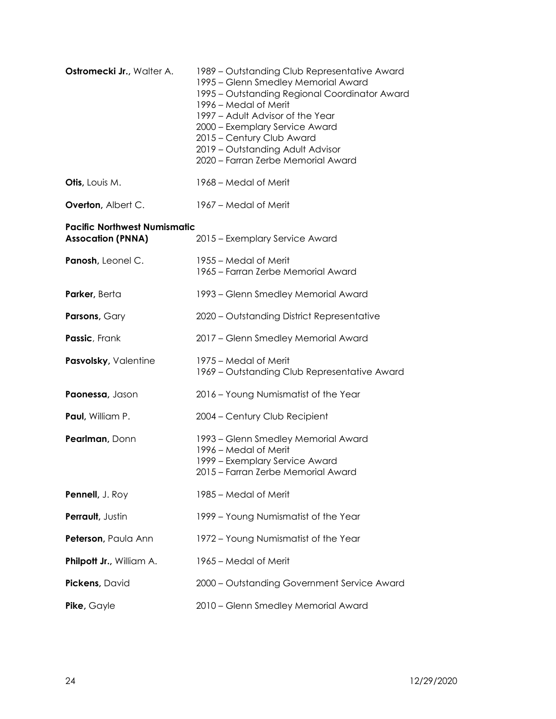| Ostromecki Jr., Walter A.                                       | 1989 – Outstanding Club Representative Award<br>1995 - Glenn Smedley Memorial Award<br>1995 - Outstanding Regional Coordinator Award<br>1996 – Medal of Merit<br>1997 - Adult Advisor of the Year<br>2000 - Exemplary Service Award<br>2015 - Century Club Award<br>2019 - Outstanding Adult Advisor<br>2020 - Farran Zerbe Memorial Award |
|-----------------------------------------------------------------|--------------------------------------------------------------------------------------------------------------------------------------------------------------------------------------------------------------------------------------------------------------------------------------------------------------------------------------------|
| Otis, Louis M.                                                  | 1968 – Medal of Merit                                                                                                                                                                                                                                                                                                                      |
| Overton, Albert C.                                              | 1967 – Medal of Merit                                                                                                                                                                                                                                                                                                                      |
| <b>Pacific Northwest Numismatic</b><br><b>Assocation (PNNA)</b> | 2015 - Exemplary Service Award                                                                                                                                                                                                                                                                                                             |
| Panosh, Leonel C.                                               | 1955 – Medal of Merit<br>1965 - Farran Zerbe Memorial Award                                                                                                                                                                                                                                                                                |
| Parker, Berta                                                   | 1993 – Glenn Smedley Memorial Award                                                                                                                                                                                                                                                                                                        |
| Parsons, Gary                                                   | 2020 - Outstanding District Representative                                                                                                                                                                                                                                                                                                 |
| Passic, Frank                                                   | 2017 - Glenn Smedley Memorial Award                                                                                                                                                                                                                                                                                                        |
| Pasvolsky, Valentine                                            | 1975 – Medal of Merit<br>1969 - Outstanding Club Representative Award                                                                                                                                                                                                                                                                      |
| Paonessa, Jason                                                 | 2016 - Young Numismatist of the Year                                                                                                                                                                                                                                                                                                       |
| Paul, William P.                                                | 2004 - Century Club Recipient                                                                                                                                                                                                                                                                                                              |
| Pearlman, Donn                                                  | 1993 – Glenn Smedley Memorial Award<br>1996 - Medal of Merit<br>1999 - Exemplary Service Award<br>2015 - Farran Zerbe Memorial Award                                                                                                                                                                                                       |
| Pennell, J. Roy                                                 | 1985 - Medal of Merit                                                                                                                                                                                                                                                                                                                      |
| Perrault, Justin                                                | 1999 - Young Numismatist of the Year                                                                                                                                                                                                                                                                                                       |
| Peterson, Paula Ann                                             | 1972 - Young Numismatist of the Year                                                                                                                                                                                                                                                                                                       |
| Philpott Jr., William A.                                        | 1965 - Medal of Merit                                                                                                                                                                                                                                                                                                                      |
| Pickens, David                                                  | 2000 - Outstanding Government Service Award                                                                                                                                                                                                                                                                                                |
| Pike, Gayle                                                     | 2010 - Glenn Smedley Memorial Award                                                                                                                                                                                                                                                                                                        |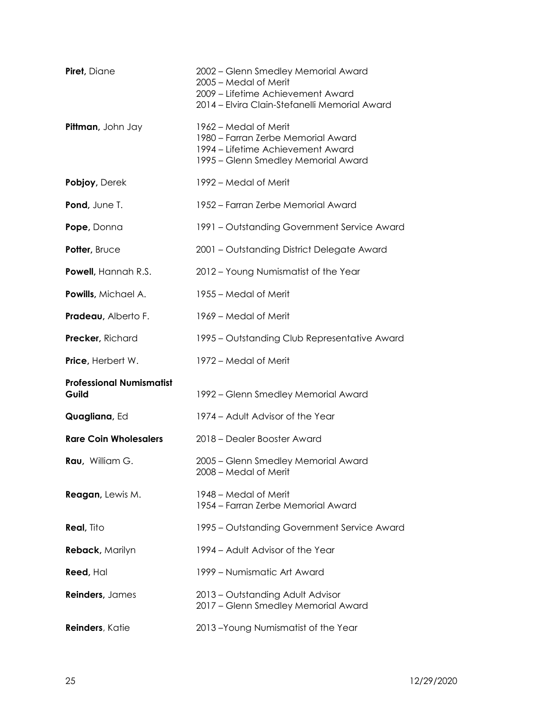| Piret, Diane                             | 2002 – Glenn Smedley Memorial Award<br>2005 - Medal of Merit<br>2009 - Lifetime Achievement Award<br>2014 - Elvira Clain-Stefanelli Memorial Award |
|------------------------------------------|----------------------------------------------------------------------------------------------------------------------------------------------------|
| Pittman, John Jay                        | 1962 – Medal of Merit<br>1980 – Farran Zerbe Memorial Award<br>1994 – Lifetime Achievement Award<br>1995 – Glenn Smedley Memorial Award            |
| Pobjoy, Derek                            | 1992 – Medal of Merit                                                                                                                              |
| Pond, June T.                            | 1952 – Farran Zerbe Memorial Award                                                                                                                 |
| Pope, Donna                              | 1991 – Outstanding Government Service Award                                                                                                        |
| Potter, Bruce                            | 2001 - Outstanding District Delegate Award                                                                                                         |
| Powell, Hannah R.S.                      | 2012 - Young Numismatist of the Year                                                                                                               |
| Powills, Michael A.                      | 1955 – Medal of Merit                                                                                                                              |
| Pradeau, Alberto F.                      | 1969 - Medal of Merit                                                                                                                              |
| Precker, Richard                         | 1995 – Outstanding Club Representative Award                                                                                                       |
| Price, Herbert W.                        | 1972 – Medal of Merit                                                                                                                              |
| <b>Professional Numismatist</b><br>Guild | 1992 – Glenn Smedley Memorial Award                                                                                                                |
| Quagliana, Ed                            | 1974 – Adult Advisor of the Year                                                                                                                   |
| <b>Rare Coin Wholesalers</b>             | 2018 - Dealer Booster Award                                                                                                                        |
| Rau, William G.                          | 2005 - Glenn Smedley Memorial Award<br>2008 – Medal of Merit                                                                                       |
| Reagan, Lewis M.                         | 1948 – Medal of Merit<br>1954 – Farran Zerbe Memorial Award                                                                                        |
| <b>Real, Tito</b>                        | 1995 – Outstanding Government Service Award                                                                                                        |
| Reback, Marilyn                          | 1994 – Adult Advisor of the Year                                                                                                                   |
| <b>Reed, Hal</b>                         | 1999 – Numismatic Art Award                                                                                                                        |
| Reinders, James                          | 2013 - Outstanding Adult Advisor<br>2017 - Glenn Smedley Memorial Award                                                                            |
| Reinders, Katie                          | 2013-Young Numismatist of the Year                                                                                                                 |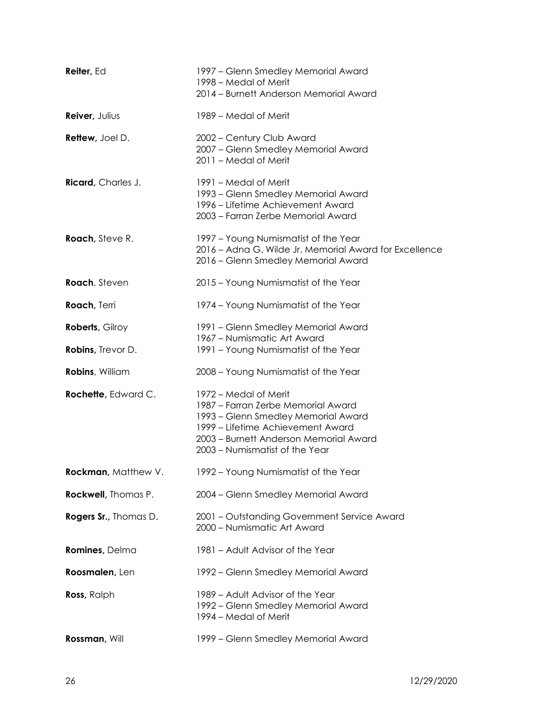| Reiter, Ed                 | 1997 – Glenn Smedley Memorial Award<br>1998 – Medal of Merit<br>2014 - Burnett Anderson Memorial Award                                                                                                              |
|----------------------------|---------------------------------------------------------------------------------------------------------------------------------------------------------------------------------------------------------------------|
| Reiver, Julius             | 1989 – Medal of Merit                                                                                                                                                                                               |
| <b>Rettew, Joel D.</b>     | 2002 - Century Club Award<br>2007 - Glenn Smedley Memorial Award<br>2011 - Medal of Merit                                                                                                                           |
| <b>Ricard</b> , Charles J. | 1991 – Medal of Merit<br>1993 – Glenn Smedley Memorial Award<br>1996 – Lifetime Achievement Award<br>2003 - Farran Zerbe Memorial Award                                                                             |
| <b>Roach</b> , Steve R.    | 1997 - Young Numismatist of the Year<br>2016 - Adna G. Wilde Jr. Memorial Award for Excellence<br>2016 - Glenn Smedley Memorial Award                                                                               |
| Roach, Steven              | 2015 - Young Numismatist of the Year                                                                                                                                                                                |
| Roach, Terri               | 1974 - Young Numismatist of the Year                                                                                                                                                                                |
| <b>Roberts, Gilroy</b>     | 1991 – Glenn Smedley Memorial Award<br>1967 – Numismatic Art Award                                                                                                                                                  |
| Robins, Trevor D.          | 1991 - Young Numismatist of the Year                                                                                                                                                                                |
| Robins, William            | 2008 - Young Numismatist of the Year                                                                                                                                                                                |
| Rochette, Edward C.        | 1972 – Medal of Merit<br>1987 - Farran Zerbe Memorial Award<br>1993 – Glenn Smedley Memorial Award<br>1999 – Lifetime Achievement Award<br>2003 - Burnett Anderson Memorial Award<br>2003 – Numismatist of the Year |
| Rockman, Matthew V.        | 1992 - Young Numismatist of the Year                                                                                                                                                                                |
| Rockwell, Thomas P.        | 2004 - Glenn Smedley Memorial Award                                                                                                                                                                                 |
| Rogers Sr., Thomas D.      | 2001 - Outstanding Government Service Award<br>2000 - Numismatic Art Award                                                                                                                                          |
| Romines, Delma             | 1981 - Adult Advisor of the Year                                                                                                                                                                                    |
| Roosmalen, Len             | 1992 – Glenn Smedley Memorial Award                                                                                                                                                                                 |
| <b>Ross</b> , Ralph        | 1989 - Adult Advisor of the Year<br>1992 – Glenn Smedley Memorial Award<br>1994 – Medal of Merit                                                                                                                    |
| Rossman, Will              | 1999 - Glenn Smedley Memorial Award                                                                                                                                                                                 |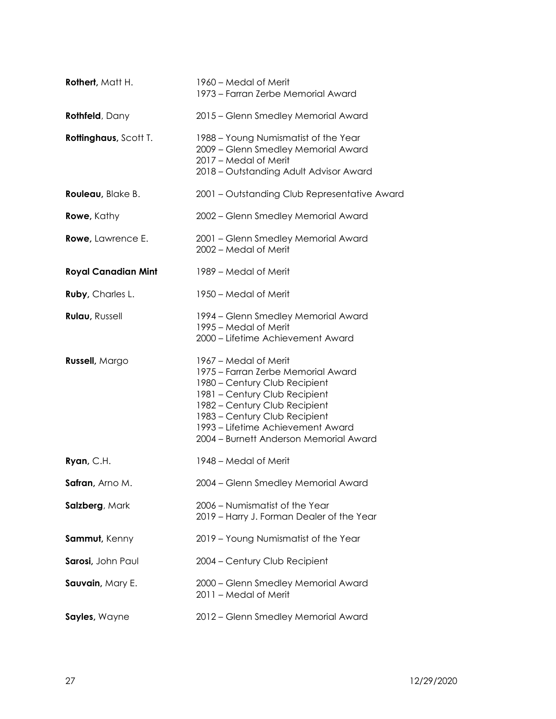| <b>Rothert, Matt H.</b>    | 1960 – Medal of Merit<br>1973 - Farran Zerbe Memorial Award                                                                                                                                                                                                                    |
|----------------------------|--------------------------------------------------------------------------------------------------------------------------------------------------------------------------------------------------------------------------------------------------------------------------------|
| <b>Rothfeld</b> , Dany     | 2015 - Glenn Smedley Memorial Award                                                                                                                                                                                                                                            |
| Rottinghaus, Scott T.      | 1988 - Young Numismatist of the Year<br>2009 - Glenn Smedley Memorial Award<br>2017 - Medal of Merit<br>2018 - Outstanding Adult Advisor Award                                                                                                                                 |
| Rouleau, Blake B.          | 2001 - Outstanding Club Representative Award                                                                                                                                                                                                                                   |
| <b>Rowe</b> , Kathy        | 2002 - Glenn Smedley Memorial Award                                                                                                                                                                                                                                            |
| Rowe, Lawrence E.          | 2001 - Glenn Smedley Memorial Award<br>2002 - Medal of Merit                                                                                                                                                                                                                   |
| <b>Royal Canadian Mint</b> | 1989 – Medal of Merit                                                                                                                                                                                                                                                          |
| Ruby, Charles L.           | 1950 – Medal of Merit                                                                                                                                                                                                                                                          |
| <b>Rulau, Russell</b>      | 1994 - Glenn Smedley Memorial Award<br>1995 – Medal of Merit<br>2000 - Lifetime Achievement Award                                                                                                                                                                              |
| Russell, Margo             | 1967 – Medal of Merit<br>1975 – Farran Zerbe Memorial Award<br>1980 - Century Club Recipient<br>1981 - Century Club Recipient<br>1982 - Century Club Recipient<br>1983 - Century Club Recipient<br>1993 – Lifetime Achievement Award<br>2004 - Burnett Anderson Memorial Award |
| Ryan, C.H.                 | 1948 – Medal of Merit                                                                                                                                                                                                                                                          |
| Safran, Arno M.            | 2004 - Glenn Smedley Memorial Award                                                                                                                                                                                                                                            |
| Salzberg, Mark             | 2006 - Numismatist of the Year<br>2019 - Harry J. Forman Dealer of the Year                                                                                                                                                                                                    |
| Sammut, Kenny              | 2019 - Young Numismatist of the Year                                                                                                                                                                                                                                           |
| Sarosi, John Paul          | 2004 - Century Club Recipient                                                                                                                                                                                                                                                  |
| Sauvain, Mary E.           | 2000 - Glenn Smedley Memorial Award<br>2011 - Medal of Merit                                                                                                                                                                                                                   |
| Sayles, Wayne              | 2012 - Glenn Smedley Memorial Award                                                                                                                                                                                                                                            |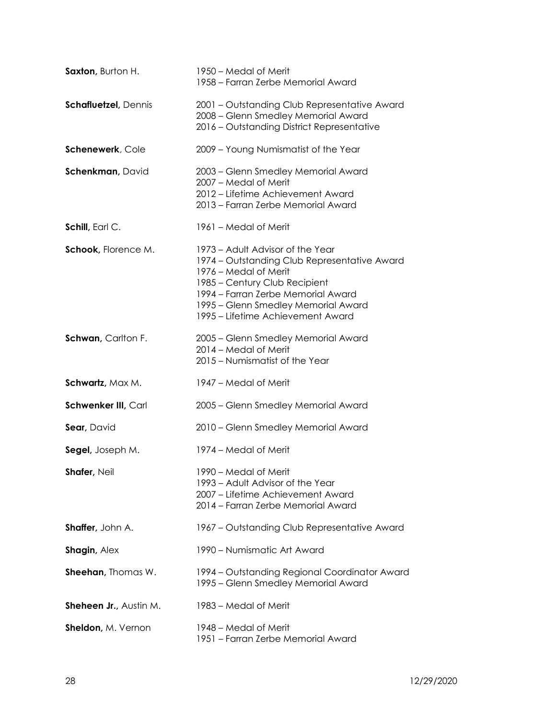| Saxton, Burton H.           | 1950 – Medal of Merit<br>1958 – Farran Zerbe Memorial Award                                                                                                                                                                                                  |
|-----------------------------|--------------------------------------------------------------------------------------------------------------------------------------------------------------------------------------------------------------------------------------------------------------|
| <b>Schafluetzel, Dennis</b> | 2001 – Outstanding Club Representative Award<br>2008 - Glenn Smedley Memorial Award<br>2016 - Outstanding District Representative                                                                                                                            |
| Schenewerk, Cole            | 2009 - Young Numismatist of the Year                                                                                                                                                                                                                         |
| Schenkman, David            | 2003 - Glenn Smedley Memorial Award<br>2007 – Medal of Merit<br>2012 – Lifetime Achievement Award<br>2013 - Farran Zerbe Memorial Award                                                                                                                      |
| Schill, Earl C.             | 1961 – Medal of Merit                                                                                                                                                                                                                                        |
| Schook, Florence M.         | 1973 – Adult Advisor of the Year<br>1974 – Outstanding Club Representative Award<br>1976 – Medal of Merit<br>1985 – Century Club Recipient<br>1994 – Farran Zerbe Memorial Award<br>1995 - Glenn Smedley Memorial Award<br>1995 – Lifetime Achievement Award |
| Schwan, Carlton F.          | 2005 - Glenn Smedley Memorial Award<br>2014 - Medal of Merit<br>2015 - Numismatist of the Year                                                                                                                                                               |
| Schwartz, Max M.            | 1947 – Medal of Merit                                                                                                                                                                                                                                        |
| Schwenker III, Carl         | 2005 - Glenn Smedley Memorial Award                                                                                                                                                                                                                          |
| Sear, David                 | 2010 - Glenn Smedley Memorial Award                                                                                                                                                                                                                          |
| Segel, Joseph M.            | 1974 – Medal of Merit                                                                                                                                                                                                                                        |
| Shafer, Neil                | 1990 – Medal of Merit<br>1993 – Adult Advisor of the Year<br>2007 - Lifetime Achievement Award<br>2014 – Farran Zerbe Memorial Award                                                                                                                         |
| Shaffer, John A.            | 1967 – Outstanding Club Representative Award                                                                                                                                                                                                                 |
| Shagin, Alex                | 1990 - Numismatic Art Award                                                                                                                                                                                                                                  |
| <b>Sheehan</b> , Thomas W.  | 1994 – Outstanding Regional Coordinator Award<br>1995 - Glenn Smedley Memorial Award                                                                                                                                                                         |
| Sheheen Jr., Austin M.      | 1983 – Medal of Merit                                                                                                                                                                                                                                        |
| Sheldon, M. Vernon          | 1948 – Medal of Merit<br>1951 - Farran Zerbe Memorial Award                                                                                                                                                                                                  |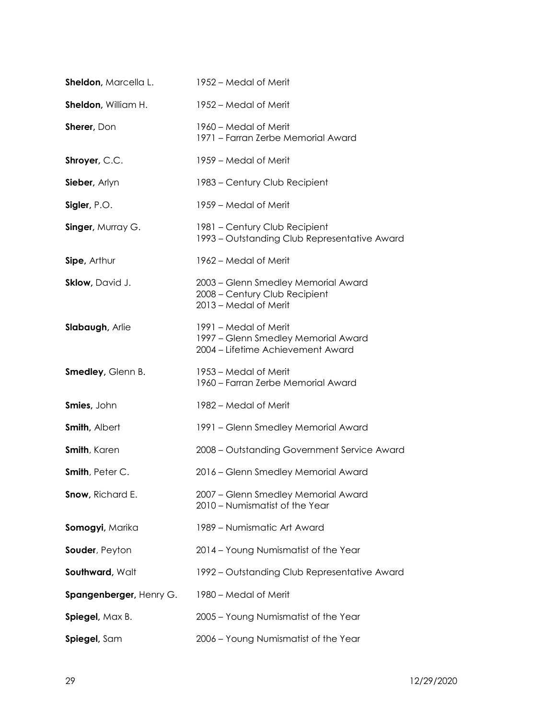| Sheldon, Marcella L.    | 1952 – Medal of Merit                                                                             |
|-------------------------|---------------------------------------------------------------------------------------------------|
| Sheldon, William H.     | 1952 – Medal of Merit                                                                             |
| Sherer, Don             | 1960 - Medal of Merit<br>1971 - Farran Zerbe Memorial Award                                       |
| Shroyer, C.C.           | 1959 – Medal of Merit                                                                             |
| Sieber, Arlyn           | 1983 - Century Club Recipient                                                                     |
| Sigler, P.O.            | 1959 – Medal of Merit                                                                             |
| Singer, Murray G.       | 1981 - Century Club Recipient<br>1993 - Outstanding Club Representative Award                     |
| Sipe, Arthur            | 1962 – Medal of Merit                                                                             |
| Sklow, David J.         | 2003 - Glenn Smedley Memorial Award<br>2008 - Century Club Recipient<br>2013 - Medal of Merit     |
| Slabaugh, Arlie         | 1991 – Medal of Merit<br>1997 - Glenn Smedley Memorial Award<br>2004 - Lifetime Achievement Award |
| Smedley, Glenn B.       | 1953 – Medal of Merit<br>1960 - Farran Zerbe Memorial Award                                       |
| Smies, John             | 1982 – Medal of Merit                                                                             |
| <b>Smith, Albert</b>    | 1991 - Glenn Smedley Memorial Award                                                               |
| <b>Smith, Karen</b>     | 2008 - Outstanding Government Service Award                                                       |
| Smith, Peter C.         | 2016 - Glenn Smedley Memorial Award                                                               |
| Snow, Richard E.        | 2007 – Glenn Smedley Memorial Award<br>2010 - Numismatist of the Year                             |
| Somogyi, Marika         | 1989 – Numismatic Art Award                                                                       |
| Souder, Peyton          | 2014 - Young Numismatist of the Year                                                              |
| Southward, Walt         | 1992 – Outstanding Club Representative Award                                                      |
| Spangenberger, Henry G. | 1980 - Medal of Merit                                                                             |
| Spiegel, Max B.         | 2005 - Young Numismatist of the Year                                                              |
| Spiegel, Sam            | 2006 - Young Numismatist of the Year                                                              |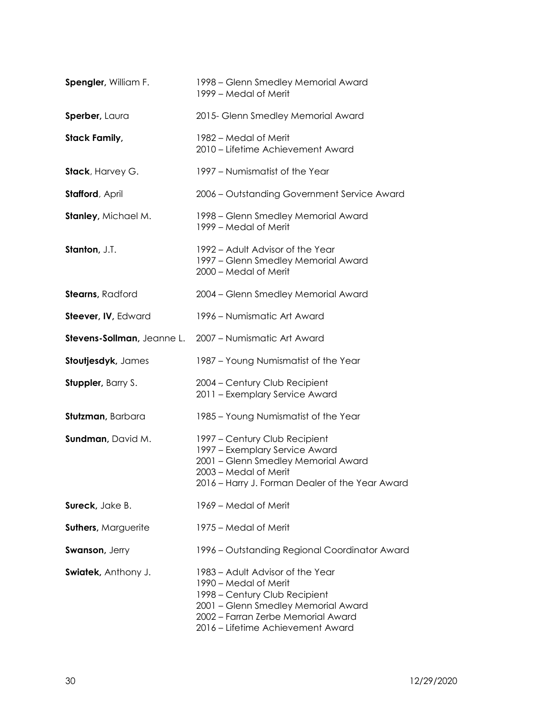| Spengler, William F.       | 1998 – Glenn Smedley Memorial Award<br>1999 - Medal of Merit                                                                                                                                                 |
|----------------------------|--------------------------------------------------------------------------------------------------------------------------------------------------------------------------------------------------------------|
| Sperber, Laura             | 2015- Glenn Smedley Memorial Award                                                                                                                                                                           |
| <b>Stack Family,</b>       | 1982 – Medal of Merit<br>2010 - Lifetime Achievement Award                                                                                                                                                   |
| Stack, Harvey G.           | 1997 - Numismatist of the Year                                                                                                                                                                               |
| <b>Stafford, April</b>     | 2006 - Outstanding Government Service Award                                                                                                                                                                  |
| Stanley, Michael M.        | 1998 – Glenn Smedley Memorial Award<br>1999 – Medal of Merit                                                                                                                                                 |
| Stanton, J.T.              | 1992 – Adult Advisor of the Year<br>1997 - Glenn Smedley Memorial Award<br>2000 - Medal of Merit                                                                                                             |
| <b>Stearns</b> , Radford   | 2004 - Glenn Smedley Memorial Award                                                                                                                                                                          |
| Steever, IV, Edward        | 1996 – Numismatic Art Award                                                                                                                                                                                  |
|                            | Stevens-Sollman, Jeanne L. 2007 - Numismatic Art Award                                                                                                                                                       |
| Stoutjesdyk, James         | 1987 - Young Numismatist of the Year                                                                                                                                                                         |
| <b>Stuppler</b> , Barry S. | 2004 - Century Club Recipient<br>2011 - Exemplary Service Award                                                                                                                                              |
| Stutzman, Barbara          | 1985 - Young Numismatist of the Year                                                                                                                                                                         |
| Sundman, David M.          | 1997 - Century Club Recipient<br>1997 - Exemplary Service Award<br>2001 - Glenn Smedley Memorial Award<br>2003 - Medal of Merit<br>2016 - Harry J. Forman Dealer of the Year Award                           |
| Sureck, Jake B.            | 1969 – Medal of Merit                                                                                                                                                                                        |
| <b>Suthers, Marguerite</b> | 1975 – Medal of Merit                                                                                                                                                                                        |
| <b>Swanson, Jerry</b>      | 1996 – Outstanding Regional Coordinator Award                                                                                                                                                                |
| Swiatek, Anthony J.        | 1983 – Adult Advisor of the Year<br>1990 – Medal of Merit<br>1998 - Century Club Recipient<br>2001 - Glenn Smedley Memorial Award<br>2002 - Farran Zerbe Memorial Award<br>2016 - Lifetime Achievement Award |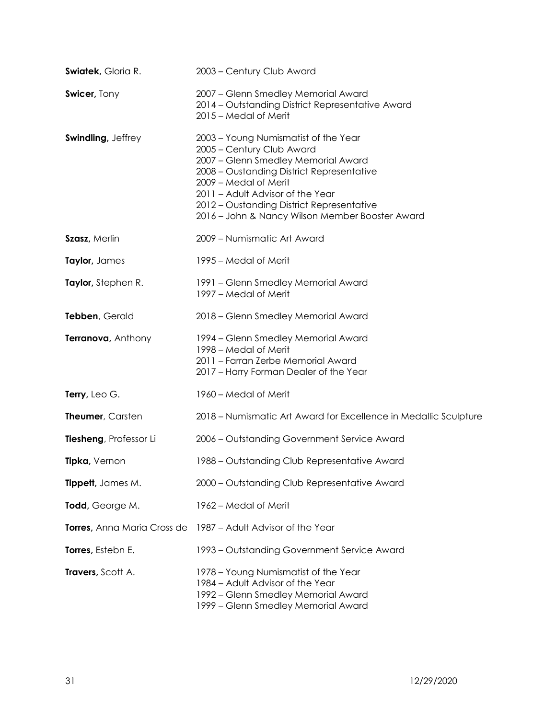| <b>Swiatek, Gloria R.</b> | 2003 - Century Club Award                                                                                                                                                                                                                                                                                          |
|---------------------------|--------------------------------------------------------------------------------------------------------------------------------------------------------------------------------------------------------------------------------------------------------------------------------------------------------------------|
| Swicer, Tony              | 2007 - Glenn Smedley Memorial Award<br>2014 - Outstanding District Representative Award<br>2015 - Medal of Merit                                                                                                                                                                                                   |
| <b>Swindling, Jeffrey</b> | 2003 - Young Numismatist of the Year<br>2005 - Century Club Award<br>2007 - Glenn Smedley Memorial Award<br>2008 - Oustanding District Representative<br>2009 - Medal of Merit<br>2011 - Adult Advisor of the Year<br>2012 - Oustanding District Representative<br>2016 - John & Nancy Wilson Member Booster Award |
| Szasz, Merlin             | 2009 - Numismatic Art Award                                                                                                                                                                                                                                                                                        |
| Taylor, James             | 1995 – Medal of Merit                                                                                                                                                                                                                                                                                              |
| Taylor, Stephen R.        | 1991 - Glenn Smedley Memorial Award<br>1997 – Medal of Merit                                                                                                                                                                                                                                                       |
| Tebben, Gerald            | 2018 - Glenn Smedley Memorial Award                                                                                                                                                                                                                                                                                |
| Terranova, Anthony        | 1994 – Glenn Smedley Memorial Award<br>1998 – Medal of Merit<br>2011 - Farran Zerbe Memorial Award<br>2017 - Harry Forman Dealer of the Year                                                                                                                                                                       |
| Terry, Leo G.             | 1960 – Medal of Merit                                                                                                                                                                                                                                                                                              |
| Theumer, Carsten          | 2018 – Numismatic Art Award for Excellence in Medallic Sculpture                                                                                                                                                                                                                                                   |
| Tiesheng, Professor Li    | 2006 - Outstanding Government Service Award                                                                                                                                                                                                                                                                        |
| Tipka, Vernon             | 1988 – Outstanding Club Representative Award                                                                                                                                                                                                                                                                       |
| <b>Tippett</b> , James M. | 2000 - Outstanding Club Representative Award                                                                                                                                                                                                                                                                       |
| Todd, George M.           | 1962 – Medal of Merit                                                                                                                                                                                                                                                                                              |
|                           | <b>Torres, Anna Maria Cross de</b> 1987 – Adult Advisor of the Year                                                                                                                                                                                                                                                |
| Torres, Estebn E.         | 1993 – Outstanding Government Service Award                                                                                                                                                                                                                                                                        |
| Travers, Scott A.         | 1978 – Young Numismatist of the Year<br>1984 – Adult Advisor of the Year<br>1992 – Glenn Smedley Memorial Award<br>1999 - Glenn Smedley Memorial Award                                                                                                                                                             |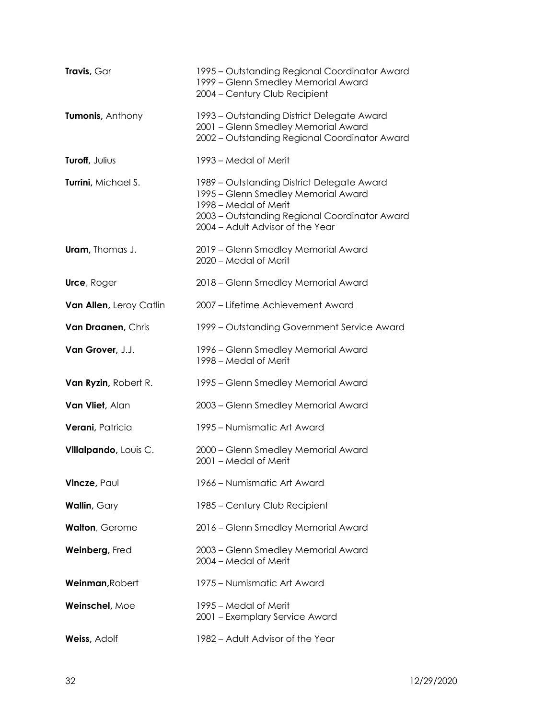| Travis, Gar             | 1995 – Outstanding Regional Coordinator Award<br>1999 - Glenn Smedley Memorial Award<br>2004 - Century Club Recipient                                                                           |
|-------------------------|-------------------------------------------------------------------------------------------------------------------------------------------------------------------------------------------------|
| Tumonis, Anthony        | 1993 – Outstanding District Delegate Award<br>2001 - Glenn Smedley Memorial Award<br>2002 - Outstanding Regional Coordinator Award                                                              |
| Turoff, Julius          | 1993 – Medal of Merit                                                                                                                                                                           |
| Turrini, Michael S.     | 1989 - Outstanding District Delegate Award<br>1995 - Glenn Smedley Memorial Award<br>1998 – Medal of Merit<br>2003 - Outstanding Regional Coordinator Award<br>2004 - Adult Advisor of the Year |
| <b>Uram</b> , Thomas J. | 2019 - Glenn Smedley Memorial Award<br>2020 - Medal of Merit                                                                                                                                    |
| Urce, Roger             | 2018 - Glenn Smedley Memorial Award                                                                                                                                                             |
| Van Allen, Leroy Catlin | 2007 - Lifetime Achievement Award                                                                                                                                                               |
| Van Draanen, Chris      | 1999 - Outstanding Government Service Award                                                                                                                                                     |
| Van Grover, J.J.        | 1996 – Glenn Smedley Memorial Award<br>1998 - Medal of Merit                                                                                                                                    |
| Van Ryzin, Robert R.    | 1995 – Glenn Smedley Memorial Award                                                                                                                                                             |
| Van Vliet, Alan         | 2003 - Glenn Smedley Memorial Award                                                                                                                                                             |
| Verani, Patricia        | 1995 - Numismatic Art Award                                                                                                                                                                     |
| Villalpando, Louis C.   | 2000 - Glenn Smedley Memorial Award<br>2001 - Medal of Merit                                                                                                                                    |
| Vincze, Paul            | 1966 – Numismatic Art Award                                                                                                                                                                     |
| <b>Wallin, Gary</b>     | 1985 - Century Club Recipient                                                                                                                                                                   |
| <b>Walton, Gerome</b>   | 2016 - Glenn Smedley Memorial Award                                                                                                                                                             |
| Weinberg, Fred          | 2003 - Glenn Smedley Memorial Award<br>2004 – Medal of Merit                                                                                                                                    |
| Weinman, Robert         | 1975 – Numismatic Art Award                                                                                                                                                                     |
| Weinschel, Moe          | 1995 – Medal of Merit<br>2001 - Exemplary Service Award                                                                                                                                         |
| Weiss, Adolf            | 1982 - Adult Advisor of the Year                                                                                                                                                                |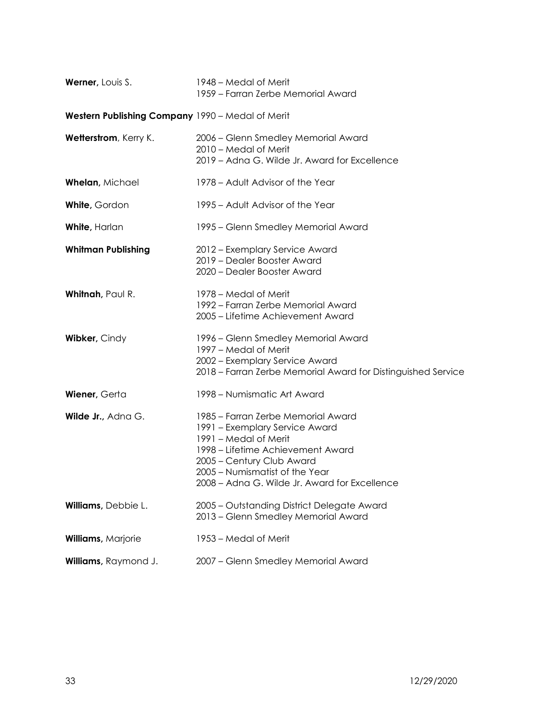| Werner, Louis S.                                 | 1948 – Medal of Merit<br>1959 – Farran Zerbe Memorial Award                                                                                                                                                                                        |
|--------------------------------------------------|----------------------------------------------------------------------------------------------------------------------------------------------------------------------------------------------------------------------------------------------------|
| Western Publishing Company 1990 - Medal of Merit |                                                                                                                                                                                                                                                    |
| Wetterstrom, Kerry K.                            | 2006 - Glenn Smedley Memorial Award<br>2010 - Medal of Merit<br>2019 - Adna G. Wilde Jr. Award for Excellence                                                                                                                                      |
| Whelan, Michael                                  | 1978 – Adult Advisor of the Year                                                                                                                                                                                                                   |
| White, Gordon                                    | 1995 – Adult Advisor of the Year                                                                                                                                                                                                                   |
| <b>White, Harlan</b>                             | 1995 – Glenn Smedley Memorial Award                                                                                                                                                                                                                |
| <b>Whitman Publishing</b>                        | 2012 - Exemplary Service Award<br>2019 - Dealer Booster Award<br>2020 - Dealer Booster Award                                                                                                                                                       |
| Whitnah, Paul R.                                 | 1978 – Medal of Merit<br>1992 – Farran Zerbe Memorial Award<br>2005 - Lifetime Achievement Award                                                                                                                                                   |
| Wibker, Cindy                                    | 1996 - Glenn Smedley Memorial Award<br>1997 – Medal of Merit<br>2002 - Exemplary Service Award<br>2018 – Farran Zerbe Memorial Award for Distinguished Service                                                                                     |
| Wiener, Gerta                                    | 1998 - Numismatic Art Award                                                                                                                                                                                                                        |
| Wilde Jr., Adna G.                               | 1985 – Farran Zerbe Memorial Award<br>1991 – Exemplary Service Award<br>1991 - Medal of Merit<br>1998 – Lifetime Achievement Award<br>2005 - Century Club Award<br>2005 - Numismatist of the Year<br>2008 - Adna G. Wilde Jr. Award for Excellence |
| Williams, Debbie L.                              | 2005 - Outstanding District Delegate Award<br>2013 - Glenn Smedley Memorial Award                                                                                                                                                                  |
| Williams, Marjorie                               | 1953 – Medal of Merit                                                                                                                                                                                                                              |
| Williams, Raymond J.                             | 2007 - Glenn Smedley Memorial Award                                                                                                                                                                                                                |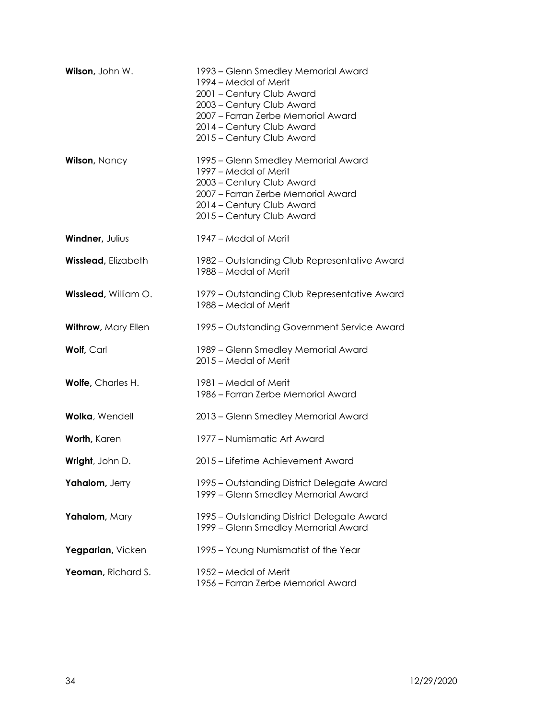| Wilson, John W.            | 1993 – Glenn Smedley Memorial Award<br>1994 – Medal of Merit<br>2001 - Century Club Award<br>2003 - Century Club Award<br>2007 - Farran Zerbe Memorial Award<br>2014 - Century Club Award<br>2015 - Century Club Award |
|----------------------------|------------------------------------------------------------------------------------------------------------------------------------------------------------------------------------------------------------------------|
| <b>Wilson, Nancy</b>       | 1995 – Glenn Smedley Memorial Award<br>1997 – Medal of Merit<br>2003 - Century Club Award<br>2007 - Farran Zerbe Memorial Award<br>2014 - Century Club Award<br>2015 - Century Club Award                              |
| Windner, Julius            | 1947 – Medal of Merit                                                                                                                                                                                                  |
| <b>Wisslead, Elizabeth</b> | 1982 - Outstanding Club Representative Award<br>1988 – Medal of Merit                                                                                                                                                  |
| Wisslead, William O.       | 1979 – Outstanding Club Representative Award<br>1988 - Medal of Merit                                                                                                                                                  |
| Withrow, Mary Ellen        | 1995 – Outstanding Government Service Award                                                                                                                                                                            |
| <b>Wolf, Carl</b>          | 1989 – Glenn Smedley Memorial Award<br>2015 - Medal of Merit                                                                                                                                                           |
| Wolfe, Charles H.          | 1981 – Medal of Merit<br>1986 – Farran Zerbe Memorial Award                                                                                                                                                            |
| Wolka, Wendell             | 2013 - Glenn Smedley Memorial Award                                                                                                                                                                                    |
| Worth, Karen               | 1977 – Numismatic Art Award                                                                                                                                                                                            |
| Wright, John D.            | 2015 – Lifetime Achievement Award                                                                                                                                                                                      |
| Yahalom, Jerry             | 1995 - Outstanding District Delegate Award<br>1999 - Glenn Smedley Memorial Award                                                                                                                                      |
| Yahalom, Mary              | 1995 – Outstanding District Delegate Award<br>1999 - Glenn Smedley Memorial Award                                                                                                                                      |
| Yegparian, Vicken          | 1995 – Young Numismatist of the Year                                                                                                                                                                                   |
| Yeoman, Richard S.         | 1952 – Medal of Merit<br>1956 – Farran Zerbe Memorial Award                                                                                                                                                            |